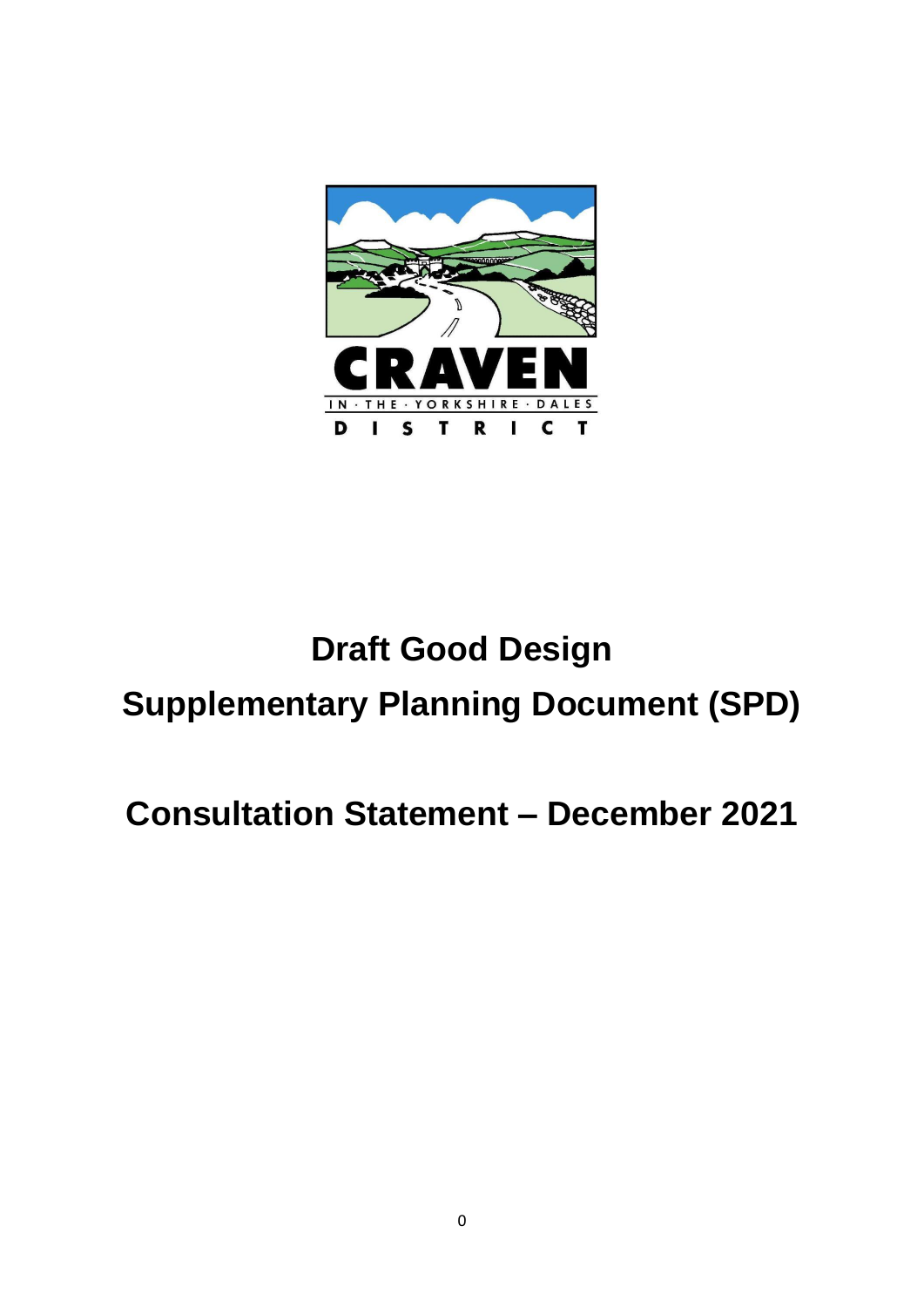

# **Draft Good Design Supplementary Planning Document (SPD)**

## **Consultation Statement – December 2021**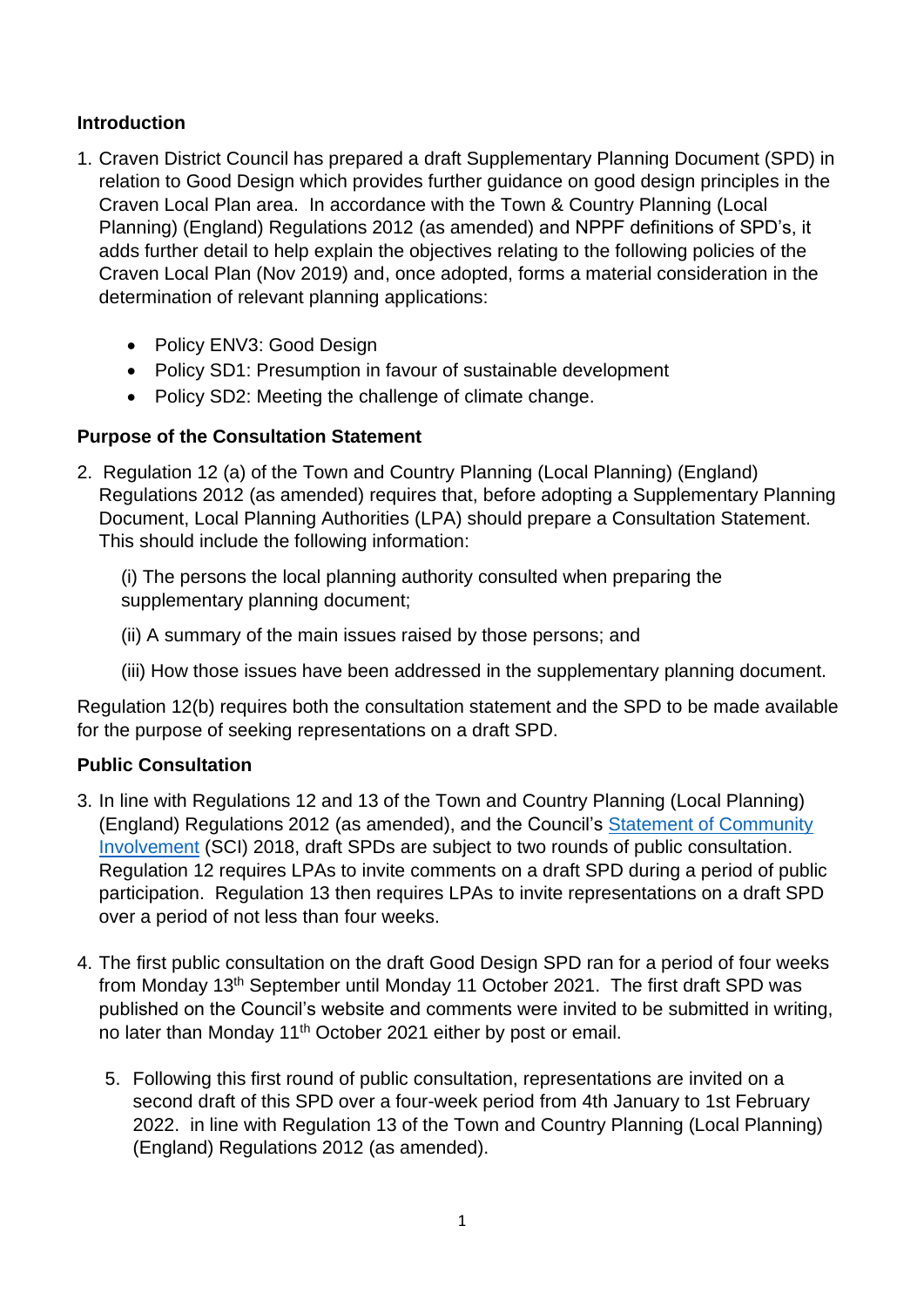#### **Introduction**

- 1. Craven District Council has prepared a draft Supplementary Planning Document (SPD) in relation to Good Design which provides further guidance on good design principles in the Craven Local Plan area. In accordance with the Town & Country Planning (Local Planning) (England) Regulations 2012 (as amended) and NPPF definitions of SPD's, it adds further detail to help explain the objectives relating to the following policies of the Craven Local Plan (Nov 2019) and, once adopted, forms a material consideration in the determination of relevant planning applications:
	- Policy ENV3: Good Design
	- Policy SD1: Presumption in favour of sustainable development
	- Policy SD2: Meeting the challenge of climate change.

### **Purpose of the Consultation Statement**

2. Regulation 12 (a) of the Town and Country Planning (Local Planning) (England) Regulations 2012 (as amended) requires that, before adopting a Supplementary Planning Document, Local Planning Authorities (LPA) should prepare a Consultation Statement. This should include the following information:

(i) The persons the local planning authority consulted when preparing the supplementary planning document;

- (ii) A summary of the main issues raised by those persons; and
- (iii) How those issues have been addressed in the supplementary planning document.

Regulation 12(b) requires both the consultation statement and the SPD to be made available for the purpose of seeking representations on a draft SPD.

#### **Public Consultation**

- 3. In line with Regulations 12 and 13 of the Town and Country Planning (Local Planning) (England) Regulations 2012 (as amended), and the Council's [Statement of Community](https://www.cravendc.gov.uk/planning/statement-of-community-involvement/)  [Involvement](https://www.cravendc.gov.uk/planning/statement-of-community-involvement/) (SCI) 2018, draft SPDs are subject to two rounds of public consultation. Regulation 12 requires LPAs to invite comments on a draft SPD during a period of public participation. Regulation 13 then requires LPAs to invite representations on a draft SPD over a period of not less than four weeks.
- 4. The first public consultation on the draft Good Design SPD ran for a period of four weeks from Monday 13<sup>th</sup> September until Monday 11 October 2021. The first draft SPD was published on the Council's website and comments were invited to be submitted in writing, no later than Monday 11<sup>th</sup> October 2021 either by post or email.
	- 5. Following this first round of public consultation, representations are invited on a second draft of this SPD over a four-week period from 4th January to 1st February 2022. in line with Regulation 13 of the Town and Country Planning (Local Planning) (England) Regulations 2012 (as amended).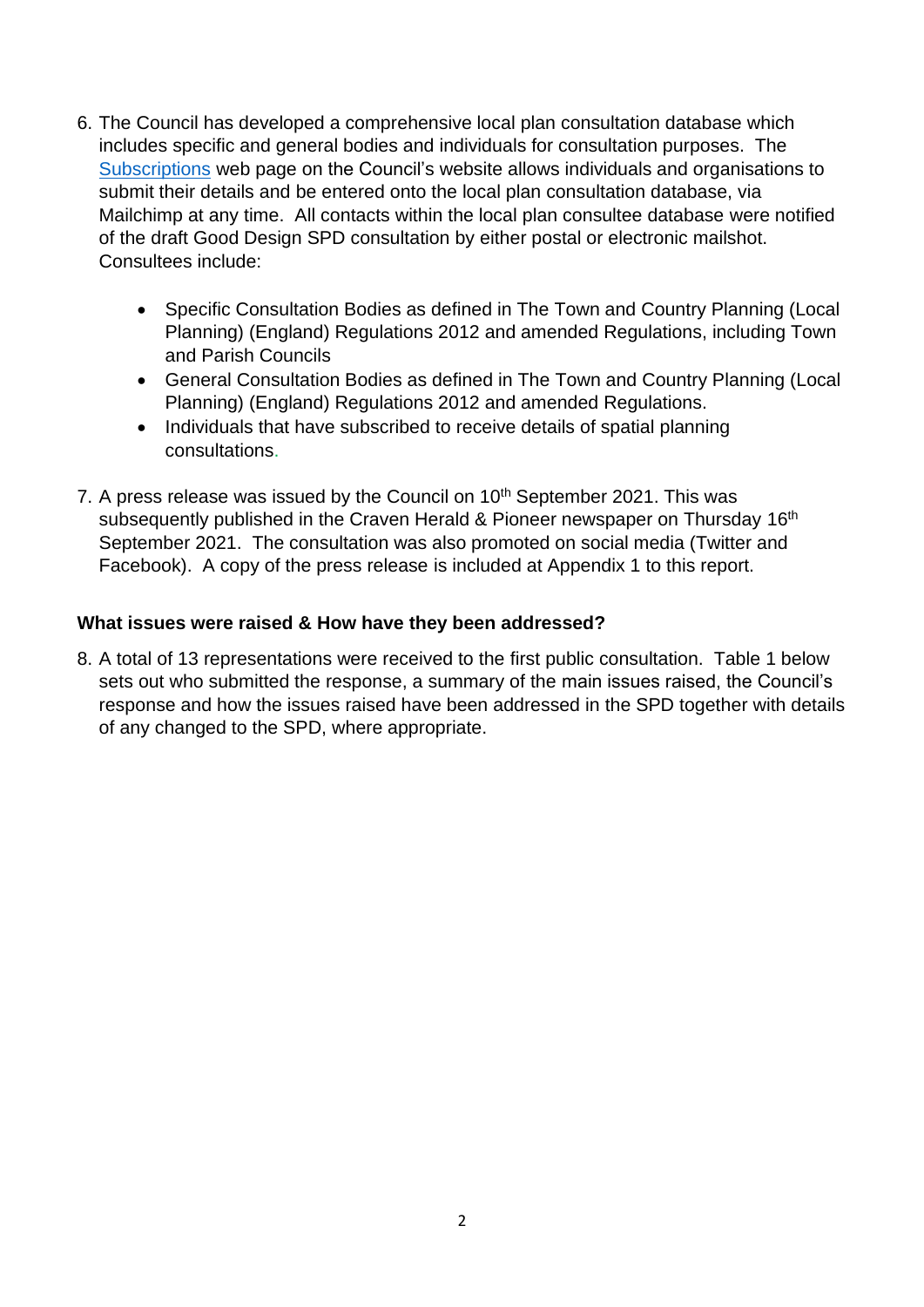- 6. The Council has developed a comprehensive local plan consultation database which includes specific and general bodies and individuals for consultation purposes. The [Subscriptions](https://www.cravendc.gov.uk/planning/spatial-planning/subscriptions/) web page on the Council's website allows individuals and organisations to submit their details and be entered onto the local plan consultation database, via Mailchimp at any time. All contacts within the local plan consultee database were notified of the draft Good Design SPD consultation by either postal or electronic mailshot. Consultees include:
	- Specific Consultation Bodies as defined in The Town and Country Planning (Local Planning) (England) Regulations 2012 and amended Regulations, including Town and Parish Councils
	- General Consultation Bodies as defined in The Town and Country Planning (Local Planning) (England) Regulations 2012 and amended Regulations.
	- Individuals that have subscribed to receive details of spatial planning consultations.
- 7. A press release was issued by the Council on  $10<sup>th</sup>$  September 2021. This was subsequently published in the Craven Herald & Pioneer newspaper on Thursday 16<sup>th</sup> September 2021. The consultation was also promoted on social media (Twitter and Facebook). A copy of the press release is included at Appendix 1 to this report.

### **What issues were raised & How have they been addressed?**

8. A total of 13 representations were received to the first public consultation. Table 1 below sets out who submitted the response, a summary of the main issues raised, the Council's response and how the issues raised have been addressed in the SPD together with details of any changed to the SPD, where appropriate.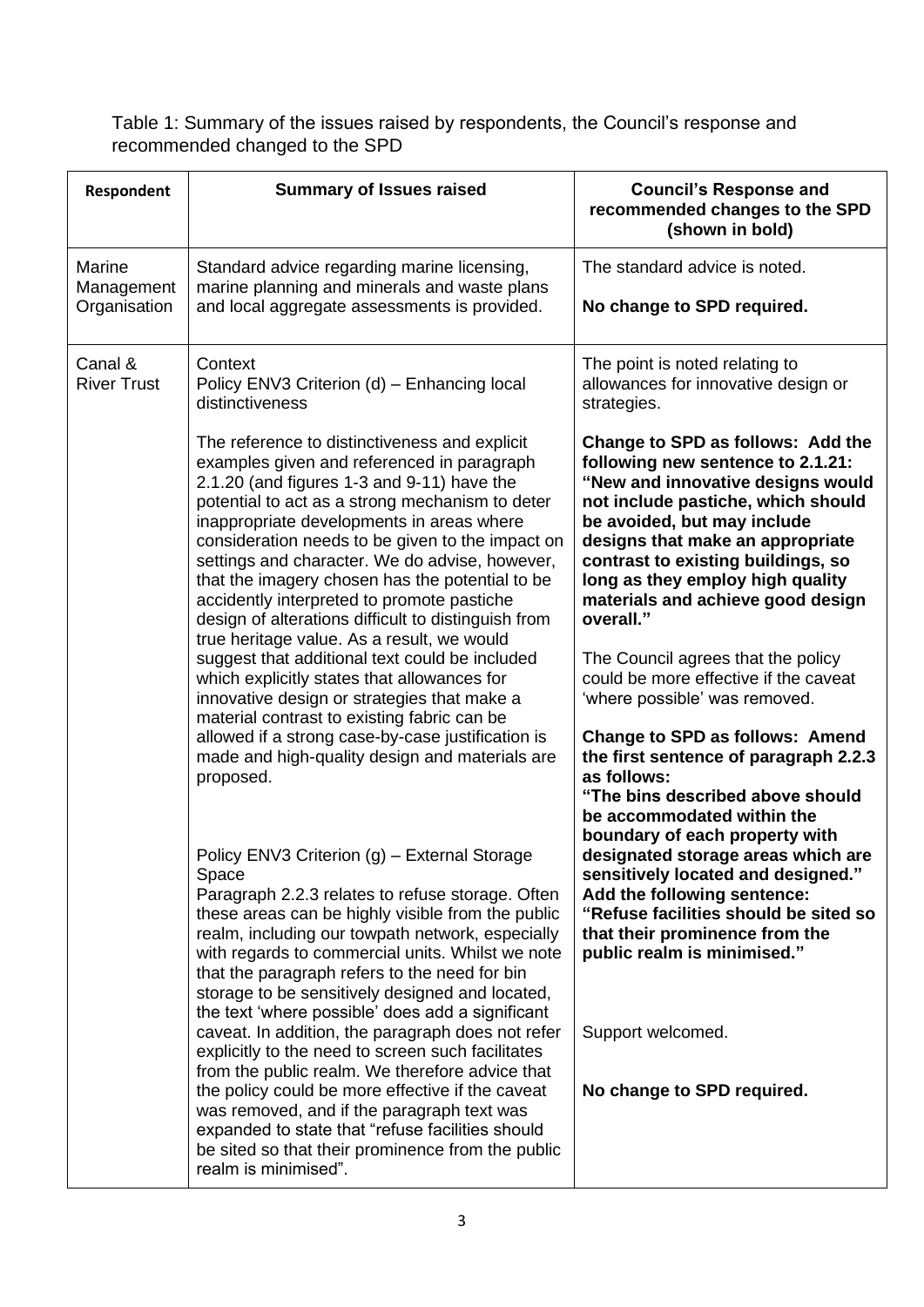Table 1: Summary of the issues raised by respondents, the Council's response and recommended changed to the SPD

| Respondent                           | <b>Summary of Issues raised</b>                                                                                                                                                                                                                                                                                                                                                                                                                                                                                                                                                                                                                                                                                                                                                                                                                                          | <b>Council's Response and</b><br>recommended changes to the SPD<br>(shown in bold)                                                                                                                                                                                                                                                                                                                                                                                                                                                                                                                                                   |
|--------------------------------------|--------------------------------------------------------------------------------------------------------------------------------------------------------------------------------------------------------------------------------------------------------------------------------------------------------------------------------------------------------------------------------------------------------------------------------------------------------------------------------------------------------------------------------------------------------------------------------------------------------------------------------------------------------------------------------------------------------------------------------------------------------------------------------------------------------------------------------------------------------------------------|--------------------------------------------------------------------------------------------------------------------------------------------------------------------------------------------------------------------------------------------------------------------------------------------------------------------------------------------------------------------------------------------------------------------------------------------------------------------------------------------------------------------------------------------------------------------------------------------------------------------------------------|
| Marine<br>Management<br>Organisation | Standard advice regarding marine licensing,<br>marine planning and minerals and waste plans<br>and local aggregate assessments is provided.                                                                                                                                                                                                                                                                                                                                                                                                                                                                                                                                                                                                                                                                                                                              | The standard advice is noted.<br>No change to SPD required.                                                                                                                                                                                                                                                                                                                                                                                                                                                                                                                                                                          |
| Canal &<br><b>River Trust</b>        | Context<br>Policy ENV3 Criterion (d) - Enhancing local<br>distinctiveness                                                                                                                                                                                                                                                                                                                                                                                                                                                                                                                                                                                                                                                                                                                                                                                                | The point is noted relating to<br>allowances for innovative design or<br>strategies.                                                                                                                                                                                                                                                                                                                                                                                                                                                                                                                                                 |
|                                      | The reference to distinctiveness and explicit<br>examples given and referenced in paragraph<br>2.1.20 (and figures 1-3 and 9-11) have the<br>potential to act as a strong mechanism to deter<br>inappropriate developments in areas where<br>consideration needs to be given to the impact on<br>settings and character. We do advise, however,<br>that the imagery chosen has the potential to be<br>accidently interpreted to promote pastiche<br>design of alterations difficult to distinguish from<br>true heritage value. As a result, we would<br>suggest that additional text could be included<br>which explicitly states that allowances for<br>innovative design or strategies that make a<br>material contrast to existing fabric can be<br>allowed if a strong case-by-case justification is<br>made and high-quality design and materials are<br>proposed. | Change to SPD as follows: Add the<br>following new sentence to 2.1.21:<br>"New and innovative designs would<br>not include pastiche, which should<br>be avoided, but may include<br>designs that make an appropriate<br>contrast to existing buildings, so<br>long as they employ high quality<br>materials and achieve good design<br>overall."<br>The Council agrees that the policy<br>could be more effective if the caveat<br>'where possible' was removed.<br><b>Change to SPD as follows: Amend</b><br>the first sentence of paragraph 2.2.3<br>as follows:<br>"The bins described above should<br>be accommodated within the |
|                                      | Policy ENV3 Criterion (g) - External Storage<br>Space<br>Paragraph 2.2.3 relates to refuse storage. Often<br>these areas can be highly visible from the public<br>realm, including our towpath network, especially<br>with regards to commercial units. Whilst we note<br>that the paragraph refers to the need for bin<br>storage to be sensitively designed and located,<br>the text 'where possible' does add a significant<br>caveat. In addition, the paragraph does not refer<br>explicitly to the need to screen such facilitates<br>from the public realm. We therefore advice that<br>the policy could be more effective if the caveat<br>was removed, and if the paragraph text was<br>expanded to state that "refuse facilities should<br>be sited so that their prominence from the public<br>realm is minimised".                                           | boundary of each property with<br>designated storage areas which are<br>sensitively located and designed."<br>Add the following sentence:<br>"Refuse facilities should be sited so<br>that their prominence from the<br>public realm is minimised."<br>Support welcomed.<br>No change to SPD required.                                                                                                                                                                                                                                                                                                                               |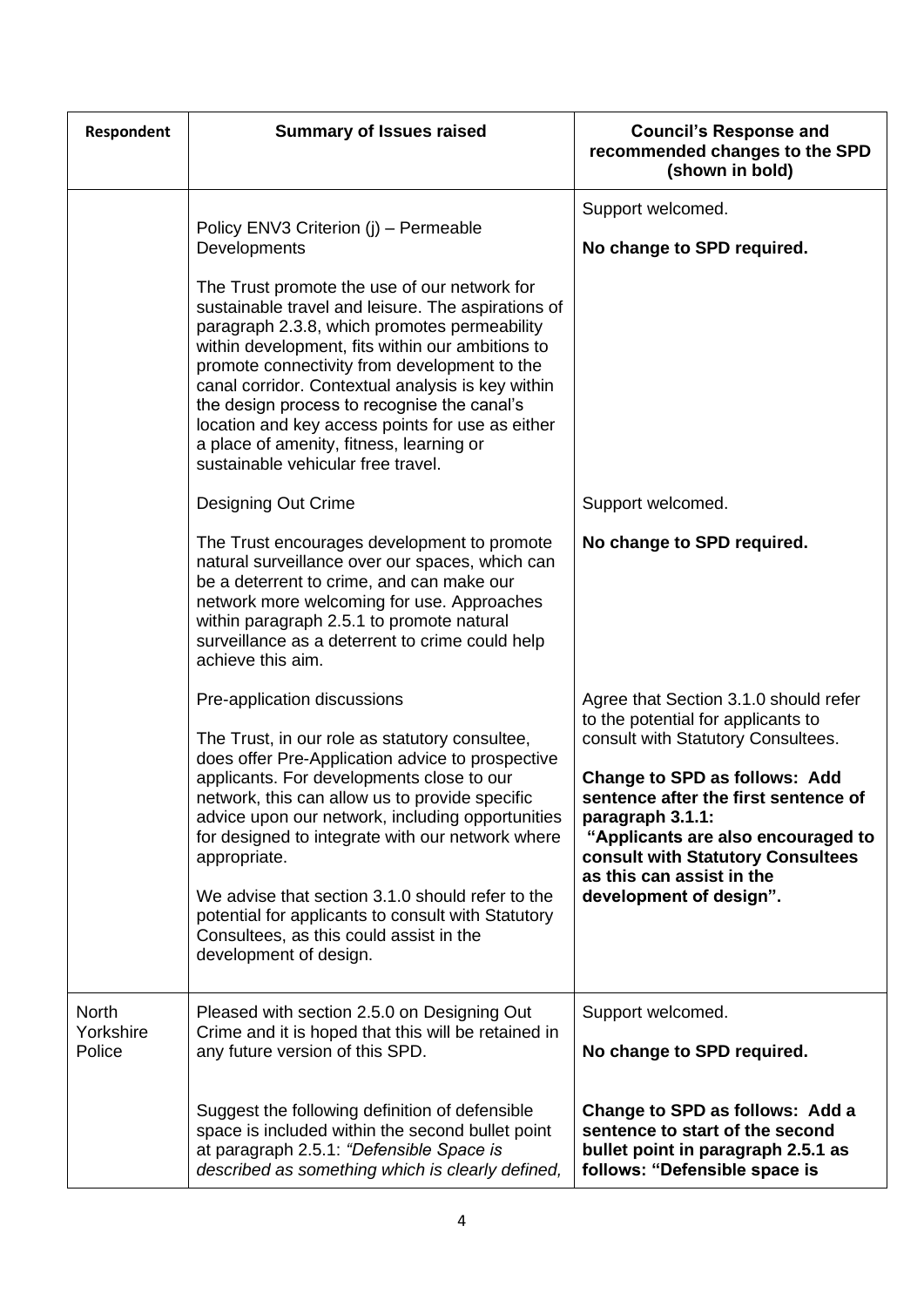| Respondent                          | <b>Summary of Issues raised</b>                                                                                                                                                                                                                                                                                                                                                                                                                                                                                                         | <b>Council's Response and</b><br>recommended changes to the SPD<br>(shown in bold)                                                                                                                                                                                                                                                                       |
|-------------------------------------|-----------------------------------------------------------------------------------------------------------------------------------------------------------------------------------------------------------------------------------------------------------------------------------------------------------------------------------------------------------------------------------------------------------------------------------------------------------------------------------------------------------------------------------------|----------------------------------------------------------------------------------------------------------------------------------------------------------------------------------------------------------------------------------------------------------------------------------------------------------------------------------------------------------|
|                                     | Policy ENV3 Criterion (j) - Permeable<br>Developments                                                                                                                                                                                                                                                                                                                                                                                                                                                                                   | Support welcomed.<br>No change to SPD required.                                                                                                                                                                                                                                                                                                          |
|                                     | The Trust promote the use of our network for<br>sustainable travel and leisure. The aspirations of<br>paragraph 2.3.8, which promotes permeability<br>within development, fits within our ambitions to<br>promote connectivity from development to the<br>canal corridor. Contextual analysis is key within<br>the design process to recognise the canal's<br>location and key access points for use as either<br>a place of amenity, fitness, learning or<br>sustainable vehicular free travel.                                        |                                                                                                                                                                                                                                                                                                                                                          |
|                                     | <b>Designing Out Crime</b>                                                                                                                                                                                                                                                                                                                                                                                                                                                                                                              | Support welcomed.                                                                                                                                                                                                                                                                                                                                        |
|                                     | The Trust encourages development to promote<br>natural surveillance over our spaces, which can<br>be a deterrent to crime, and can make our<br>network more welcoming for use. Approaches<br>within paragraph 2.5.1 to promote natural<br>surveillance as a deterrent to crime could help<br>achieve this aim.                                                                                                                                                                                                                          | No change to SPD required.                                                                                                                                                                                                                                                                                                                               |
|                                     | Pre-application discussions<br>The Trust, in our role as statutory consultee,<br>does offer Pre-Application advice to prospective<br>applicants. For developments close to our<br>network, this can allow us to provide specific<br>advice upon our network, including opportunities<br>for designed to integrate with our network where<br>appropriate.<br>We advise that section 3.1.0 should refer to the<br>potential for applicants to consult with Statutory<br>Consultees, as this could assist in the<br>development of design. | Agree that Section 3.1.0 should refer<br>to the potential for applicants to<br>consult with Statutory Consultees.<br><b>Change to SPD as follows: Add</b><br>sentence after the first sentence of<br>paragraph 3.1.1:<br>"Applicants are also encouraged to<br>consult with Statutory Consultees<br>as this can assist in the<br>development of design". |
| <b>North</b><br>Yorkshire<br>Police | Pleased with section 2.5.0 on Designing Out<br>Crime and it is hoped that this will be retained in<br>any future version of this SPD.                                                                                                                                                                                                                                                                                                                                                                                                   | Support welcomed.<br>No change to SPD required.                                                                                                                                                                                                                                                                                                          |
|                                     | Suggest the following definition of defensible<br>space is included within the second bullet point<br>at paragraph 2.5.1: "Defensible Space is<br>described as something which is clearly defined,                                                                                                                                                                                                                                                                                                                                      | Change to SPD as follows: Add a<br>sentence to start of the second<br>bullet point in paragraph 2.5.1 as<br>follows: "Defensible space is                                                                                                                                                                                                                |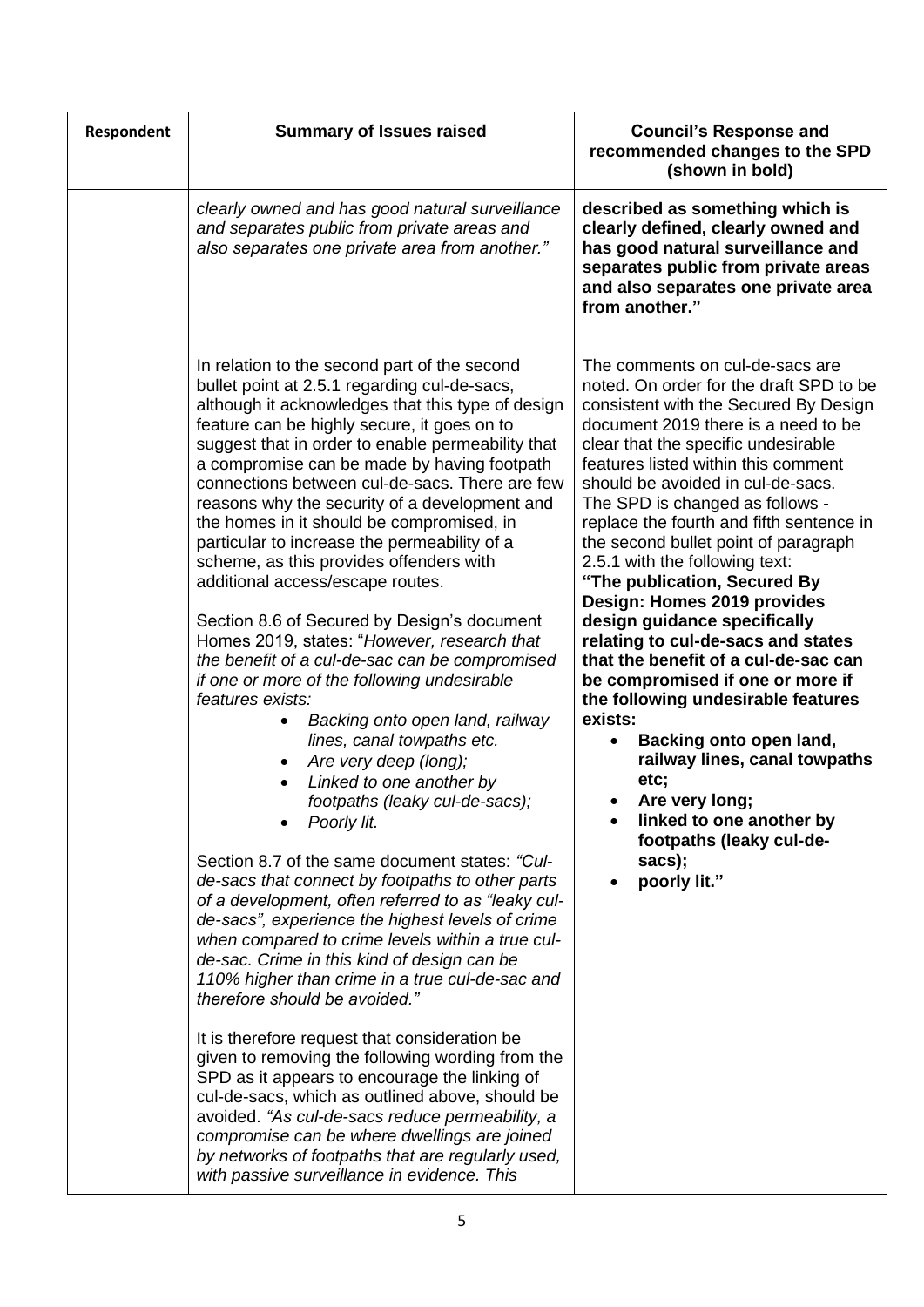| Respondent | <b>Summary of Issues raised</b>                                                                                                                                                                                                                                                                                                                                                                                                                                                                                                                                                                                                                                                                                                                                                                                                                                                                                                                                                                                                                                                                                                                                                                                                                                                                                                                                                                                                                                                                                                                                                                                                                                                                                                                                                                      | <b>Council's Response and</b><br>recommended changes to the SPD<br>(shown in bold)                                                                                                                                                                                                                                                                                                                                                                                                                                                                                                                                                                                                                                                                                                                                                                                               |
|------------|------------------------------------------------------------------------------------------------------------------------------------------------------------------------------------------------------------------------------------------------------------------------------------------------------------------------------------------------------------------------------------------------------------------------------------------------------------------------------------------------------------------------------------------------------------------------------------------------------------------------------------------------------------------------------------------------------------------------------------------------------------------------------------------------------------------------------------------------------------------------------------------------------------------------------------------------------------------------------------------------------------------------------------------------------------------------------------------------------------------------------------------------------------------------------------------------------------------------------------------------------------------------------------------------------------------------------------------------------------------------------------------------------------------------------------------------------------------------------------------------------------------------------------------------------------------------------------------------------------------------------------------------------------------------------------------------------------------------------------------------------------------------------------------------------|----------------------------------------------------------------------------------------------------------------------------------------------------------------------------------------------------------------------------------------------------------------------------------------------------------------------------------------------------------------------------------------------------------------------------------------------------------------------------------------------------------------------------------------------------------------------------------------------------------------------------------------------------------------------------------------------------------------------------------------------------------------------------------------------------------------------------------------------------------------------------------|
|            | clearly owned and has good natural surveillance<br>and separates public from private areas and<br>also separates one private area from another."                                                                                                                                                                                                                                                                                                                                                                                                                                                                                                                                                                                                                                                                                                                                                                                                                                                                                                                                                                                                                                                                                                                                                                                                                                                                                                                                                                                                                                                                                                                                                                                                                                                     | described as something which is<br>clearly defined, clearly owned and<br>has good natural surveillance and<br>separates public from private areas<br>and also separates one private area<br>from another."                                                                                                                                                                                                                                                                                                                                                                                                                                                                                                                                                                                                                                                                       |
|            | In relation to the second part of the second<br>bullet point at 2.5.1 regarding cul-de-sacs,<br>although it acknowledges that this type of design<br>feature can be highly secure, it goes on to<br>suggest that in order to enable permeability that<br>a compromise can be made by having footpath<br>connections between cul-de-sacs. There are few<br>reasons why the security of a development and<br>the homes in it should be compromised, in<br>particular to increase the permeability of a<br>scheme, as this provides offenders with<br>additional access/escape routes.<br>Section 8.6 of Secured by Design's document<br>Homes 2019, states: "However, research that<br>the benefit of a cul-de-sac can be compromised<br>if one or more of the following undesirable<br>features exists:<br>Backing onto open land, railway<br>lines, canal towpaths etc.<br>Are very deep (long);<br>Linked to one another by<br>footpaths (leaky cul-de-sacs);<br>Poorly lit.<br>Section 8.7 of the same document states: "Cul-<br>de-sacs that connect by footpaths to other parts<br>of a development, often referred to as "leaky cul-<br>de-sacs", experience the highest levels of crime<br>when compared to crime levels within a true cul-<br>de-sac. Crime in this kind of design can be<br>110% higher than crime in a true cul-de-sac and<br>therefore should be avoided."<br>It is therefore request that consideration be<br>given to removing the following wording from the<br>SPD as it appears to encourage the linking of<br>cul-de-sacs, which as outlined above, should be<br>avoided. "As cul-de-sacs reduce permeability, a<br>compromise can be where dwellings are joined<br>by networks of footpaths that are regularly used,<br>with passive surveillance in evidence. This | The comments on cul-de-sacs are<br>noted. On order for the draft SPD to be<br>consistent with the Secured By Design<br>document 2019 there is a need to be<br>clear that the specific undesirable<br>features listed within this comment<br>should be avoided in cul-de-sacs.<br>The SPD is changed as follows -<br>replace the fourth and fifth sentence in<br>the second bullet point of paragraph<br>2.5.1 with the following text:<br>"The publication, Secured By<br>Design: Homes 2019 provides<br>design guidance specifically<br>relating to cul-de-sacs and states<br>that the benefit of a cul-de-sac can<br>be compromised if one or more if<br>the following undesirable features<br>exists:<br>Backing onto open land,<br>railway lines, canal towpaths<br>etc;<br>Are very long;<br>linked to one another by<br>footpaths (leaky cul-de-<br>sacs);<br>poorly lit." |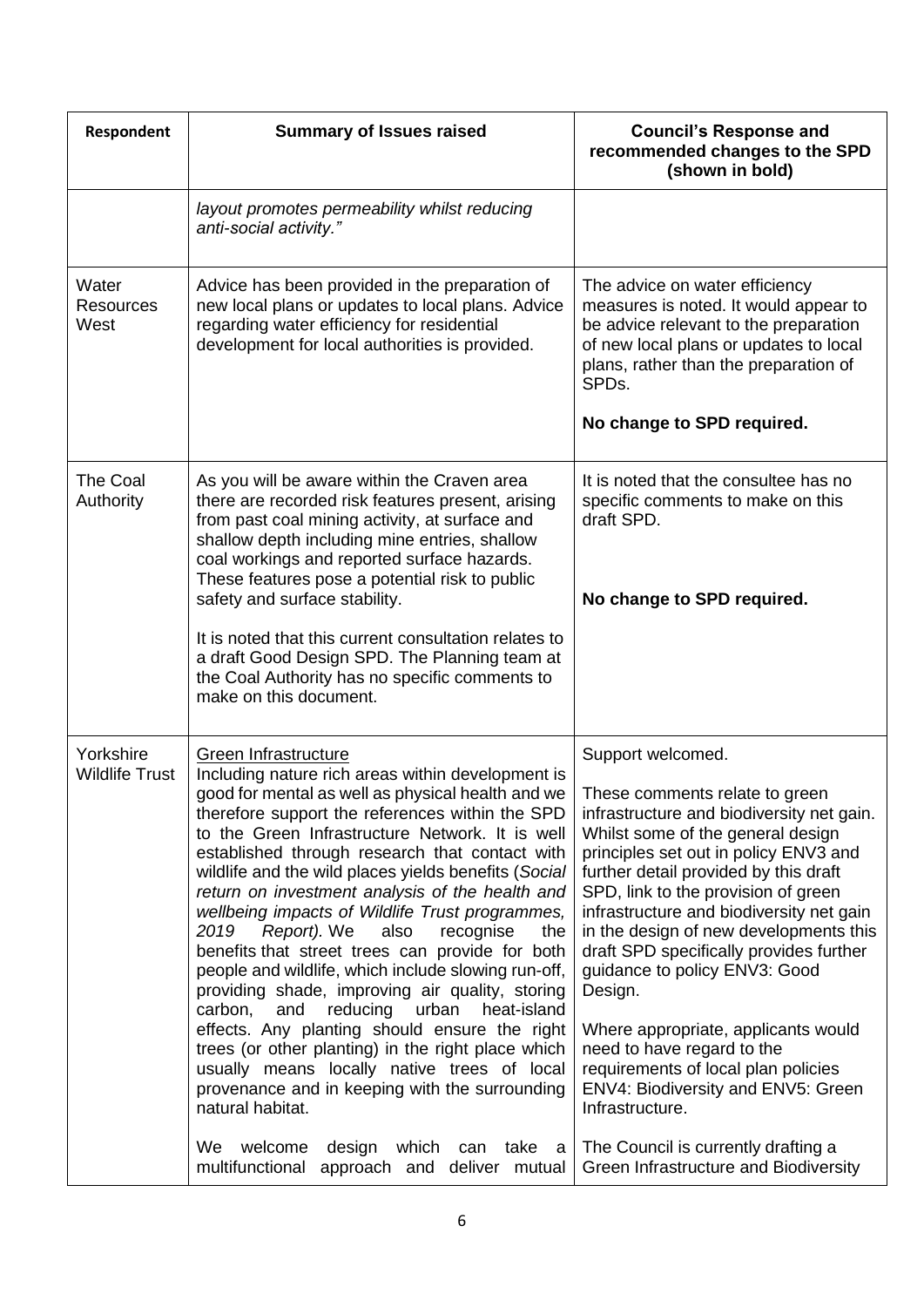| Respondent                         | <b>Summary of Issues raised</b>                                                                                                                                                                                                                                                                                                                                                                                                                                                                                                                                                                                                                                                                                                                                                                                                                                                                                                                                                                                                                                  | <b>Council's Response and</b><br>recommended changes to the SPD<br>(shown in bold)                                                                                                                                                                                                                                                                                                                                                                                                                                                                                                                                                                                                               |
|------------------------------------|------------------------------------------------------------------------------------------------------------------------------------------------------------------------------------------------------------------------------------------------------------------------------------------------------------------------------------------------------------------------------------------------------------------------------------------------------------------------------------------------------------------------------------------------------------------------------------------------------------------------------------------------------------------------------------------------------------------------------------------------------------------------------------------------------------------------------------------------------------------------------------------------------------------------------------------------------------------------------------------------------------------------------------------------------------------|--------------------------------------------------------------------------------------------------------------------------------------------------------------------------------------------------------------------------------------------------------------------------------------------------------------------------------------------------------------------------------------------------------------------------------------------------------------------------------------------------------------------------------------------------------------------------------------------------------------------------------------------------------------------------------------------------|
|                                    | layout promotes permeability whilst reducing<br>anti-social activity."                                                                                                                                                                                                                                                                                                                                                                                                                                                                                                                                                                                                                                                                                                                                                                                                                                                                                                                                                                                           |                                                                                                                                                                                                                                                                                                                                                                                                                                                                                                                                                                                                                                                                                                  |
| Water<br><b>Resources</b><br>West  | Advice has been provided in the preparation of<br>new local plans or updates to local plans. Advice<br>regarding water efficiency for residential<br>development for local authorities is provided.                                                                                                                                                                                                                                                                                                                                                                                                                                                                                                                                                                                                                                                                                                                                                                                                                                                              | The advice on water efficiency<br>measures is noted. It would appear to<br>be advice relevant to the preparation<br>of new local plans or updates to local<br>plans, rather than the preparation of<br>SPD <sub>s</sub> .                                                                                                                                                                                                                                                                                                                                                                                                                                                                        |
|                                    |                                                                                                                                                                                                                                                                                                                                                                                                                                                                                                                                                                                                                                                                                                                                                                                                                                                                                                                                                                                                                                                                  | No change to SPD required.                                                                                                                                                                                                                                                                                                                                                                                                                                                                                                                                                                                                                                                                       |
| <b>The Coal</b><br>Authority       | As you will be aware within the Craven area<br>there are recorded risk features present, arising<br>from past coal mining activity, at surface and<br>shallow depth including mine entries, shallow<br>coal workings and reported surface hazards.                                                                                                                                                                                                                                                                                                                                                                                                                                                                                                                                                                                                                                                                                                                                                                                                               | It is noted that the consultee has no<br>specific comments to make on this<br>draft SPD.                                                                                                                                                                                                                                                                                                                                                                                                                                                                                                                                                                                                         |
|                                    | These features pose a potential risk to public<br>safety and surface stability.                                                                                                                                                                                                                                                                                                                                                                                                                                                                                                                                                                                                                                                                                                                                                                                                                                                                                                                                                                                  | No change to SPD required.                                                                                                                                                                                                                                                                                                                                                                                                                                                                                                                                                                                                                                                                       |
|                                    | It is noted that this current consultation relates to<br>a draft Good Design SPD. The Planning team at<br>the Coal Authority has no specific comments to<br>make on this document.                                                                                                                                                                                                                                                                                                                                                                                                                                                                                                                                                                                                                                                                                                                                                                                                                                                                               |                                                                                                                                                                                                                                                                                                                                                                                                                                                                                                                                                                                                                                                                                                  |
| Yorkshire<br><b>Wildlife Trust</b> | Green Infrastructure<br>Including nature rich areas within development is<br>good for mental as well as physical health and we<br>therefore support the references within the SPD<br>to the Green Infrastructure Network. It is well<br>established through research that contact with<br>wildlife and the wild places yields benefits (Social<br>return on investment analysis of the health and<br>wellbeing impacts of Wildlife Trust programmes,<br>Report). We<br>also<br>2019<br>recognise<br>the<br>benefits that street trees can provide for both<br>people and wildlife, which include slowing run-off,<br>providing shade, improving air quality, storing<br>reducing<br>carbon,<br>and<br>urban<br>heat-island<br>effects. Any planting should ensure the right<br>trees (or other planting) in the right place which<br>usually means locally native trees of local<br>provenance and in keeping with the surrounding<br>natural habitat.<br>We<br>welcome<br>design<br>which<br>take<br>can<br>а<br>multifunctional<br>approach and deliver mutual | Support welcomed.<br>These comments relate to green<br>infrastructure and biodiversity net gain.<br>Whilst some of the general design<br>principles set out in policy ENV3 and<br>further detail provided by this draft<br>SPD, link to the provision of green<br>infrastructure and biodiversity net gain<br>in the design of new developments this<br>draft SPD specifically provides further<br>guidance to policy ENV3: Good<br>Design.<br>Where appropriate, applicants would<br>need to have regard to the<br>requirements of local plan policies<br>ENV4: Biodiversity and ENV5: Green<br>Infrastructure.<br>The Council is currently drafting a<br>Green Infrastructure and Biodiversity |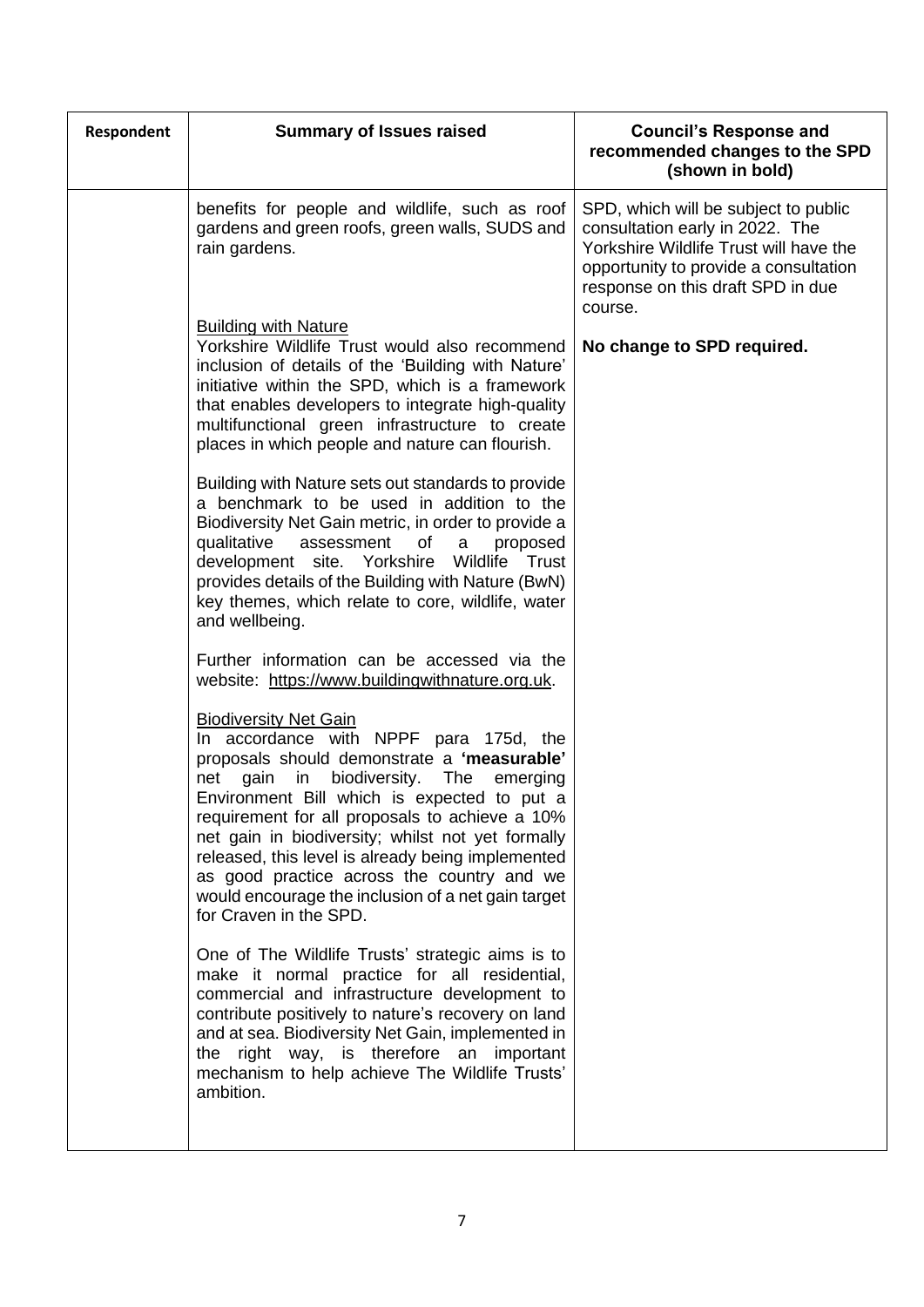| <b>Respondent</b> | <b>Summary of Issues raised</b>                                                                                                                                                                                                                                                                                                                                                                                                                                                                                         | <b>Council's Response and</b><br>recommended changes to the SPD<br>(shown in bold)                                                                                                                         |
|-------------------|-------------------------------------------------------------------------------------------------------------------------------------------------------------------------------------------------------------------------------------------------------------------------------------------------------------------------------------------------------------------------------------------------------------------------------------------------------------------------------------------------------------------------|------------------------------------------------------------------------------------------------------------------------------------------------------------------------------------------------------------|
|                   | benefits for people and wildlife, such as roof<br>gardens and green roofs, green walls, SUDS and<br>rain gardens.                                                                                                                                                                                                                                                                                                                                                                                                       | SPD, which will be subject to public<br>consultation early in 2022. The<br>Yorkshire Wildlife Trust will have the<br>opportunity to provide a consultation<br>response on this draft SPD in due<br>course. |
|                   | <b>Building with Nature</b><br>Yorkshire Wildlife Trust would also recommend<br>inclusion of details of the 'Building with Nature'<br>initiative within the SPD, which is a framework<br>that enables developers to integrate high-quality<br>multifunctional green infrastructure to create<br>places in which people and nature can flourish.                                                                                                                                                                         | No change to SPD required.                                                                                                                                                                                 |
|                   | Building with Nature sets out standards to provide<br>a benchmark to be used in addition to the<br>Biodiversity Net Gain metric, in order to provide a<br>qualitative<br>assessment<br>of<br>a<br>proposed<br>development site. Yorkshire<br>Wildlife<br>Trust<br>provides details of the Building with Nature (BwN)<br>key themes, which relate to core, wildlife, water<br>and wellbeing.                                                                                                                             |                                                                                                                                                                                                            |
|                   | Further information can be accessed via the<br>website: https://www.buildingwithnature.org.uk.                                                                                                                                                                                                                                                                                                                                                                                                                          |                                                                                                                                                                                                            |
|                   | <b>Biodiversity Net Gain</b><br>In accordance with NPPF para 175d, the<br>proposals should demonstrate a 'measurable'<br>biodiversity.<br>net<br>gain<br>in<br>The<br>emerging<br>Environment Bill which is expected to put a<br>requirement for all proposals to achieve a 10%<br>net gain in biodiversity; whilst not yet formally<br>released, this level is already being implemented<br>as good practice across the country and we<br>would encourage the inclusion of a net gain target<br>for Craven in the SPD. |                                                                                                                                                                                                            |
|                   | One of The Wildlife Trusts' strategic aims is to<br>make it normal practice for all residential,<br>commercial and infrastructure development to<br>contribute positively to nature's recovery on land<br>and at sea. Biodiversity Net Gain, implemented in<br>the right way, is therefore an important<br>mechanism to help achieve The Wildlife Trusts'<br>ambition.                                                                                                                                                  |                                                                                                                                                                                                            |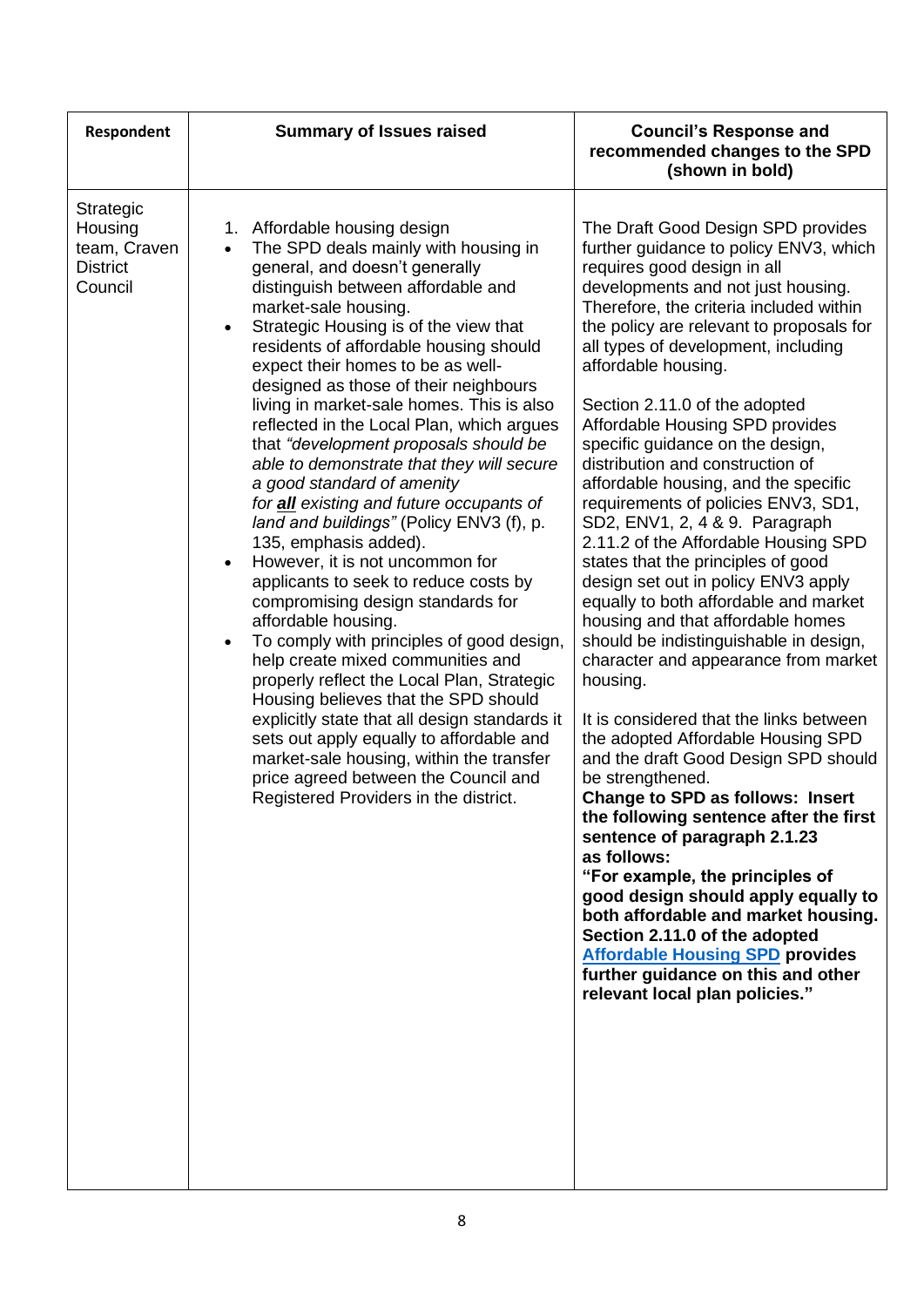| Respondent                                                         | <b>Summary of Issues raised</b>                                                                                                                                                                                                                                                                                                                                                                                                                                                                                                                                                                                                                                                                                                                                                                                                                                                                                                                                                                                                                                                                                                                                                                                                                          | <b>Council's Response and</b><br>recommended changes to the SPD<br>(shown in bold)                                                                                                                                                                                                                                                                                                                                                                                                                                                                                                                                                                                                                                                                                                                                                                                                                                                                                                                                                                                                                                                                                                                                                                                                                                                                                                                                        |
|--------------------------------------------------------------------|----------------------------------------------------------------------------------------------------------------------------------------------------------------------------------------------------------------------------------------------------------------------------------------------------------------------------------------------------------------------------------------------------------------------------------------------------------------------------------------------------------------------------------------------------------------------------------------------------------------------------------------------------------------------------------------------------------------------------------------------------------------------------------------------------------------------------------------------------------------------------------------------------------------------------------------------------------------------------------------------------------------------------------------------------------------------------------------------------------------------------------------------------------------------------------------------------------------------------------------------------------|---------------------------------------------------------------------------------------------------------------------------------------------------------------------------------------------------------------------------------------------------------------------------------------------------------------------------------------------------------------------------------------------------------------------------------------------------------------------------------------------------------------------------------------------------------------------------------------------------------------------------------------------------------------------------------------------------------------------------------------------------------------------------------------------------------------------------------------------------------------------------------------------------------------------------------------------------------------------------------------------------------------------------------------------------------------------------------------------------------------------------------------------------------------------------------------------------------------------------------------------------------------------------------------------------------------------------------------------------------------------------------------------------------------------------|
| Strategic<br>Housing<br>team, Craven<br><b>District</b><br>Council | Affordable housing design<br>1.<br>The SPD deals mainly with housing in<br>general, and doesn't generally<br>distinguish between affordable and<br>market-sale housing.<br>Strategic Housing is of the view that<br>$\bullet$<br>residents of affordable housing should<br>expect their homes to be as well-<br>designed as those of their neighbours<br>living in market-sale homes. This is also<br>reflected in the Local Plan, which argues<br>that "development proposals should be<br>able to demonstrate that they will secure<br>a good standard of amenity<br>for all existing and future occupants of<br>land and buildings" (Policy ENV3 (f), p.<br>135, emphasis added).<br>However, it is not uncommon for<br>$\bullet$<br>applicants to seek to reduce costs by<br>compromising design standards for<br>affordable housing.<br>To comply with principles of good design,<br>$\bullet$<br>help create mixed communities and<br>properly reflect the Local Plan, Strategic<br>Housing believes that the SPD should<br>explicitly state that all design standards it<br>sets out apply equally to affordable and<br>market-sale housing, within the transfer<br>price agreed between the Council and<br>Registered Providers in the district. | The Draft Good Design SPD provides<br>further guidance to policy ENV3, which<br>requires good design in all<br>developments and not just housing.<br>Therefore, the criteria included within<br>the policy are relevant to proposals for<br>all types of development, including<br>affordable housing.<br>Section 2.11.0 of the adopted<br>Affordable Housing SPD provides<br>specific guidance on the design,<br>distribution and construction of<br>affordable housing, and the specific<br>requirements of policies ENV3, SD1,<br>SD2, ENV1, 2, 4 & 9. Paragraph<br>2.11.2 of the Affordable Housing SPD<br>states that the principles of good<br>design set out in policy ENV3 apply<br>equally to both affordable and market<br>housing and that affordable homes<br>should be indistinguishable in design,<br>character and appearance from market<br>housing.<br>It is considered that the links between<br>the adopted Affordable Housing SPD<br>and the draft Good Design SPD should<br>be strengthened.<br><b>Change to SPD as follows: Insert</b><br>the following sentence after the first<br>sentence of paragraph 2.1.23<br>as follows:<br>"For example, the principles of<br>good design should apply equally to<br>both affordable and market housing.<br>Section 2.11.0 of the adopted<br><b>Affordable Housing SPD provides</b><br>further guidance on this and other<br>relevant local plan policies." |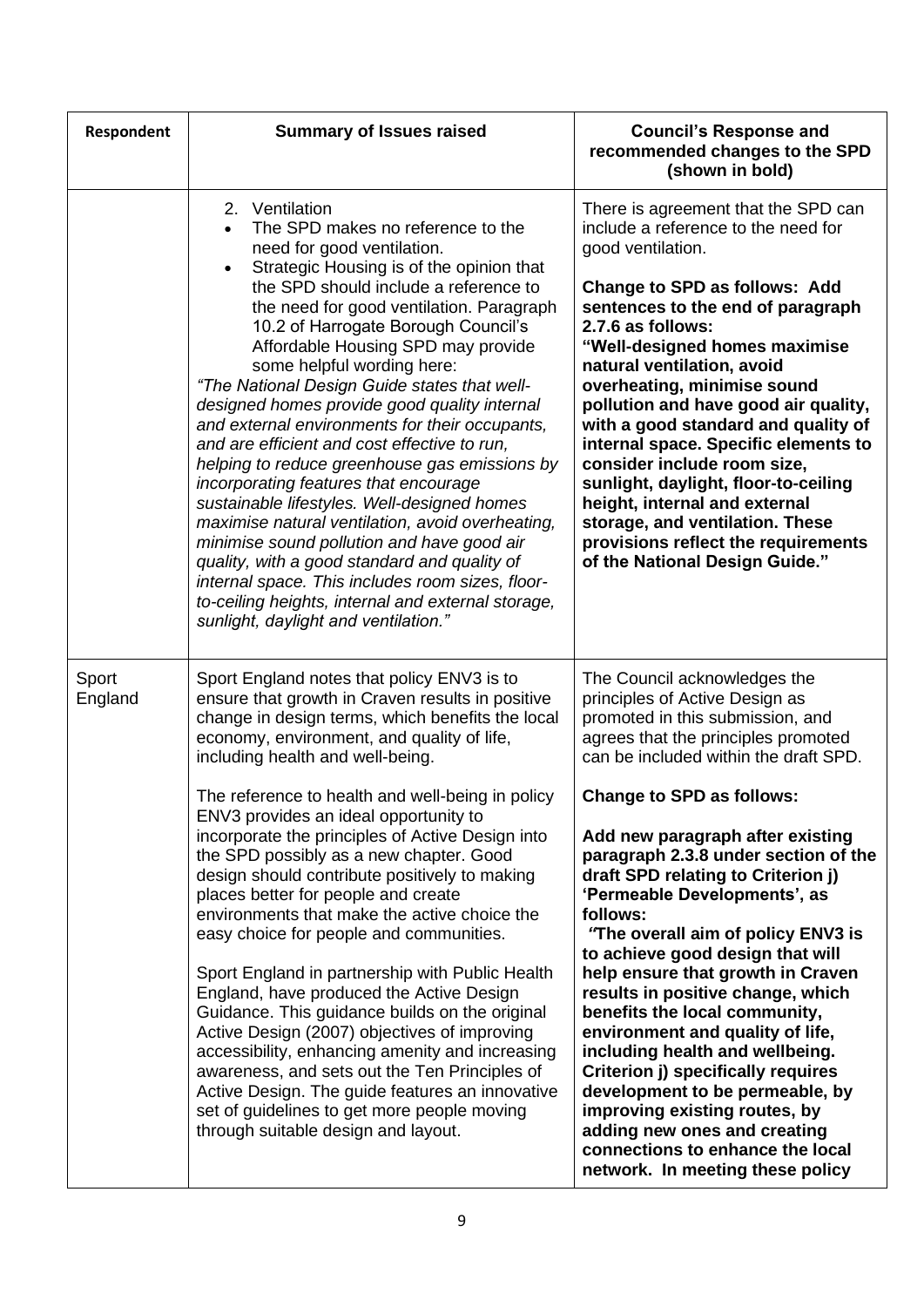| Respondent       | <b>Summary of Issues raised</b>                                                                                                                                                                                                                                                                                                                                                                                                                                                                                                                                                                                                                                                                                                                                                                                                                                                                                                                                                                                                                                   | <b>Council's Response and</b><br>recommended changes to the SPD<br>(shown in bold)                                                                                                                                                                                                                                                                                                                                                                                                                                                                                                                                                                                                                                                                                                                                                                                 |
|------------------|-------------------------------------------------------------------------------------------------------------------------------------------------------------------------------------------------------------------------------------------------------------------------------------------------------------------------------------------------------------------------------------------------------------------------------------------------------------------------------------------------------------------------------------------------------------------------------------------------------------------------------------------------------------------------------------------------------------------------------------------------------------------------------------------------------------------------------------------------------------------------------------------------------------------------------------------------------------------------------------------------------------------------------------------------------------------|--------------------------------------------------------------------------------------------------------------------------------------------------------------------------------------------------------------------------------------------------------------------------------------------------------------------------------------------------------------------------------------------------------------------------------------------------------------------------------------------------------------------------------------------------------------------------------------------------------------------------------------------------------------------------------------------------------------------------------------------------------------------------------------------------------------------------------------------------------------------|
|                  | 2. Ventilation<br>The SPD makes no reference to the<br>$\bullet$<br>need for good ventilation.<br>Strategic Housing is of the opinion that<br>$\bullet$<br>the SPD should include a reference to<br>the need for good ventilation. Paragraph<br>10.2 of Harrogate Borough Council's<br>Affordable Housing SPD may provide<br>some helpful wording here:<br>"The National Design Guide states that well-<br>designed homes provide good quality internal<br>and external environments for their occupants,<br>and are efficient and cost effective to run,<br>helping to reduce greenhouse gas emissions by<br>incorporating features that encourage<br>sustainable lifestyles. Well-designed homes<br>maximise natural ventilation, avoid overheating,<br>minimise sound pollution and have good air<br>quality, with a good standard and quality of<br>internal space. This includes room sizes, floor-<br>to-ceiling heights, internal and external storage,<br>sunlight, daylight and ventilation."                                                            | There is agreement that the SPD can<br>include a reference to the need for<br>good ventilation.<br>Change to SPD as follows: Add<br>sentences to the end of paragraph<br>2.7.6 as follows:<br>"Well-designed homes maximise<br>natural ventilation, avoid<br>overheating, minimise sound<br>pollution and have good air quality,<br>with a good standard and quality of<br>internal space. Specific elements to<br>consider include room size,<br>sunlight, daylight, floor-to-ceiling<br>height, internal and external<br>storage, and ventilation. These<br>provisions reflect the requirements<br>of the National Design Guide."                                                                                                                                                                                                                                |
| Sport<br>England | Sport England notes that policy ENV3 is to<br>ensure that growth in Craven results in positive<br>change in design terms, which benefits the local<br>economy, environment, and quality of life,<br>including health and well-being.<br>The reference to health and well-being in policy<br>ENV3 provides an ideal opportunity to<br>incorporate the principles of Active Design into<br>the SPD possibly as a new chapter. Good<br>design should contribute positively to making<br>places better for people and create<br>environments that make the active choice the<br>easy choice for people and communities.<br>Sport England in partnership with Public Health<br>England, have produced the Active Design<br>Guidance. This guidance builds on the original<br>Active Design (2007) objectives of improving<br>accessibility, enhancing amenity and increasing<br>awareness, and sets out the Ten Principles of<br>Active Design. The guide features an innovative<br>set of guidelines to get more people moving<br>through suitable design and layout. | The Council acknowledges the<br>principles of Active Design as<br>promoted in this submission, and<br>agrees that the principles promoted<br>can be included within the draft SPD.<br><b>Change to SPD as follows:</b><br>Add new paragraph after existing<br>paragraph 2.3.8 under section of the<br>draft SPD relating to Criterion j)<br>'Permeable Developments', as<br>follows:<br>"The overall aim of policy ENV3 is<br>to achieve good design that will<br>help ensure that growth in Craven<br>results in positive change, which<br>benefits the local community,<br>environment and quality of life,<br>including health and wellbeing.<br>Criterion j) specifically requires<br>development to be permeable, by<br>improving existing routes, by<br>adding new ones and creating<br>connections to enhance the local<br>network. In meeting these policy |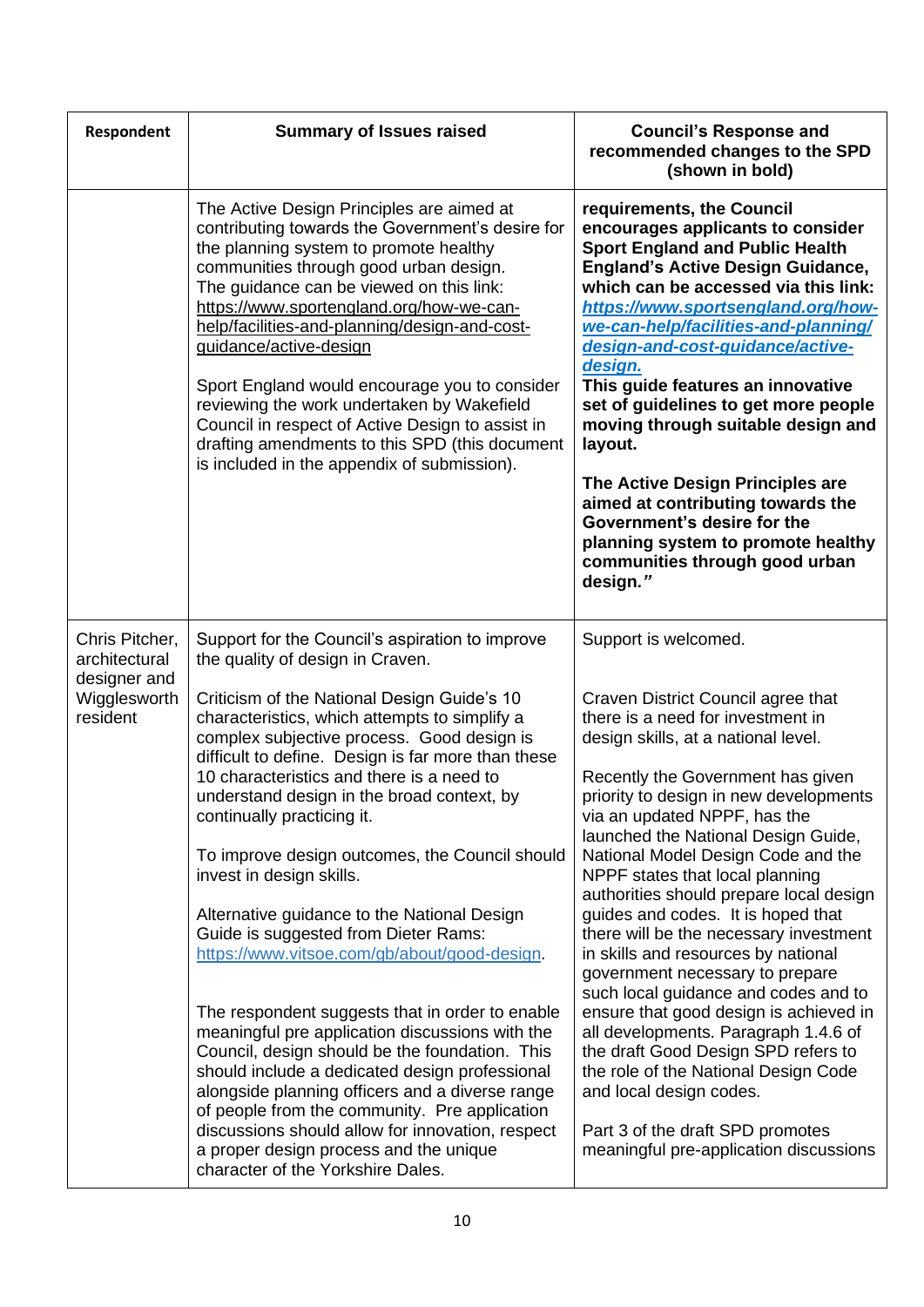| <b>Respondent</b>                                                           | <b>Summary of Issues raised</b>                                                                                                                                                                                                                                                                                                                                                                                                                                                                                                                                                                                                                                                                                                                                                                                                                                                                                                                                                                                                                                                        | <b>Council's Response and</b><br>recommended changes to the SPD<br>(shown in bold)                                                                                                                                                                                                                                                                                                                                                                                                                                                                                                                                                                                                                                                                                                                                                                                                           |
|-----------------------------------------------------------------------------|----------------------------------------------------------------------------------------------------------------------------------------------------------------------------------------------------------------------------------------------------------------------------------------------------------------------------------------------------------------------------------------------------------------------------------------------------------------------------------------------------------------------------------------------------------------------------------------------------------------------------------------------------------------------------------------------------------------------------------------------------------------------------------------------------------------------------------------------------------------------------------------------------------------------------------------------------------------------------------------------------------------------------------------------------------------------------------------|----------------------------------------------------------------------------------------------------------------------------------------------------------------------------------------------------------------------------------------------------------------------------------------------------------------------------------------------------------------------------------------------------------------------------------------------------------------------------------------------------------------------------------------------------------------------------------------------------------------------------------------------------------------------------------------------------------------------------------------------------------------------------------------------------------------------------------------------------------------------------------------------|
|                                                                             | The Active Design Principles are aimed at<br>contributing towards the Government's desire for<br>the planning system to promote healthy<br>communities through good urban design.<br>The guidance can be viewed on this link:<br>https://www.sportengland.org/how-we-can-<br>help/facilities-and-planning/design-and-cost-<br>guidance/active-design<br>Sport England would encourage you to consider<br>reviewing the work undertaken by Wakefield<br>Council in respect of Active Design to assist in<br>drafting amendments to this SPD (this document<br>is included in the appendix of submission).                                                                                                                                                                                                                                                                                                                                                                                                                                                                               | requirements, the Council<br>encourages applicants to consider<br><b>Sport England and Public Health</b><br><b>England's Active Design Guidance,</b><br>which can be accessed via this link:<br>https://www.sportsengland.org/how-<br>we-can-help/facilities-and-planning/<br>design-and-cost-guidance/active-<br>design.<br>This guide features an innovative<br>set of guidelines to get more people<br>moving through suitable design and<br>layout.<br>The Active Design Principles are<br>aimed at contributing towards the<br>Government's desire for the<br>planning system to promote healthy<br>communities through good urban<br>design."                                                                                                                                                                                                                                          |
| Chris Pitcher,<br>architectural<br>designer and<br>Wigglesworth<br>resident | Support for the Council's aspiration to improve<br>the quality of design in Craven.<br>Criticism of the National Design Guide's 10<br>characteristics, which attempts to simplify a<br>complex subjective process. Good design is<br>difficult to define. Design is far more than these<br>10 characteristics and there is a need to<br>understand design in the broad context, by<br>continually practicing it.<br>To improve design outcomes, the Council should<br>invest in design skills.<br>Alternative guidance to the National Design<br>Guide is suggested from Dieter Rams:<br>https://www.vitsoe.com/gb/about/good-design.<br>The respondent suggests that in order to enable<br>meaningful pre application discussions with the<br>Council, design should be the foundation. This<br>should include a dedicated design professional<br>alongside planning officers and a diverse range<br>of people from the community. Pre application<br>discussions should allow for innovation, respect<br>a proper design process and the unique<br>character of the Yorkshire Dales. | Support is welcomed.<br>Craven District Council agree that<br>there is a need for investment in<br>design skills, at a national level.<br>Recently the Government has given<br>priority to design in new developments<br>via an updated NPPF, has the<br>launched the National Design Guide,<br>National Model Design Code and the<br>NPPF states that local planning<br>authorities should prepare local design<br>guides and codes. It is hoped that<br>there will be the necessary investment<br>in skills and resources by national<br>government necessary to prepare<br>such local guidance and codes and to<br>ensure that good design is achieved in<br>all developments. Paragraph 1.4.6 of<br>the draft Good Design SPD refers to<br>the role of the National Design Code<br>and local design codes.<br>Part 3 of the draft SPD promotes<br>meaningful pre-application discussions |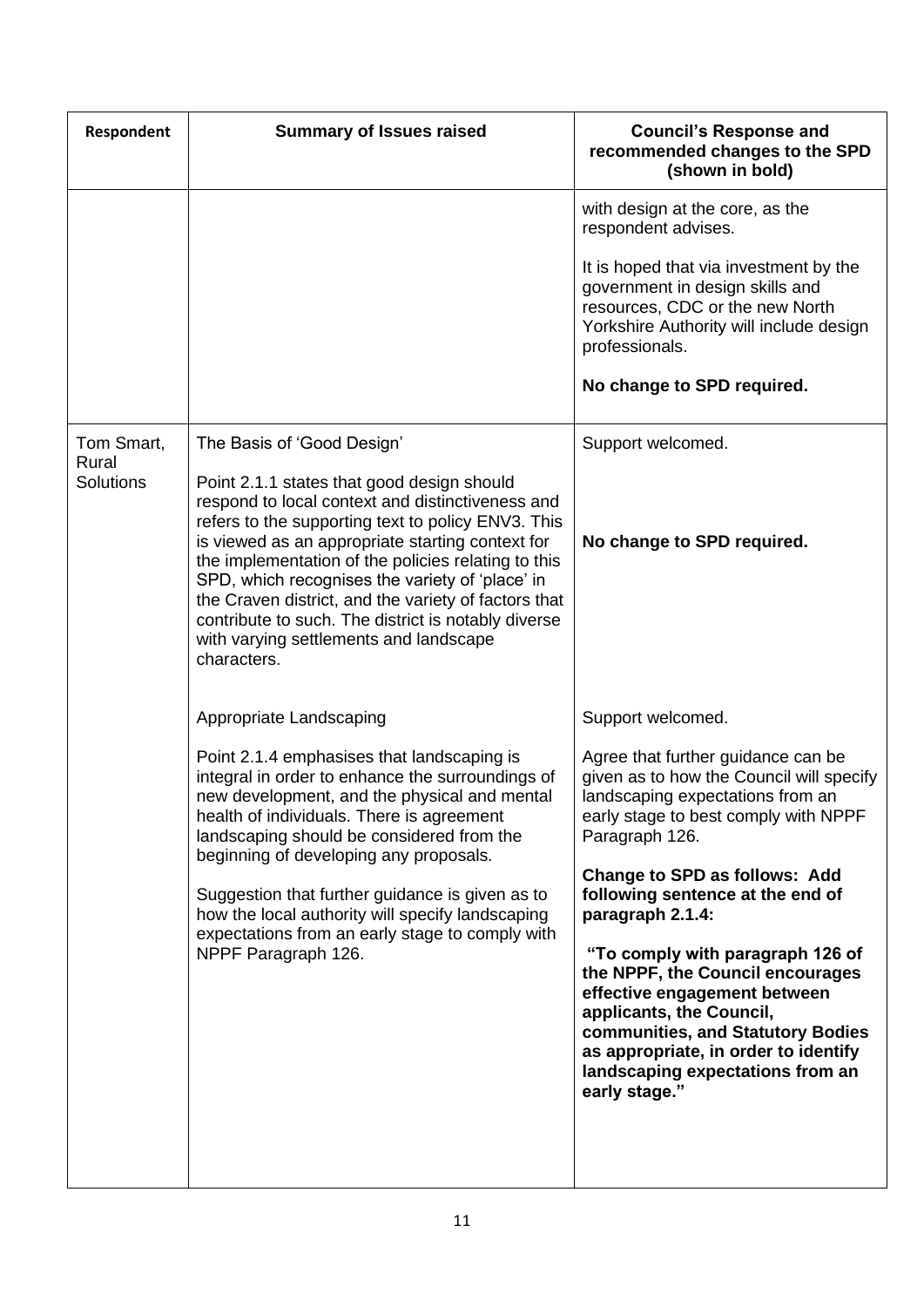| Respondent          | <b>Summary of Issues raised</b>                                                                                                                                                                                                                                                                                                                                                                                                                                                            | <b>Council's Response and</b><br>recommended changes to the SPD<br>(shown in bold)                                                                                                                                                                                                                                                                          |
|---------------------|--------------------------------------------------------------------------------------------------------------------------------------------------------------------------------------------------------------------------------------------------------------------------------------------------------------------------------------------------------------------------------------------------------------------------------------------------------------------------------------------|-------------------------------------------------------------------------------------------------------------------------------------------------------------------------------------------------------------------------------------------------------------------------------------------------------------------------------------------------------------|
|                     |                                                                                                                                                                                                                                                                                                                                                                                                                                                                                            | with design at the core, as the<br>respondent advises.                                                                                                                                                                                                                                                                                                      |
|                     |                                                                                                                                                                                                                                                                                                                                                                                                                                                                                            | It is hoped that via investment by the<br>government in design skills and<br>resources, CDC or the new North<br>Yorkshire Authority will include design<br>professionals.                                                                                                                                                                                   |
|                     |                                                                                                                                                                                                                                                                                                                                                                                                                                                                                            | No change to SPD required.                                                                                                                                                                                                                                                                                                                                  |
| Tom Smart,<br>Rural | The Basis of 'Good Design'                                                                                                                                                                                                                                                                                                                                                                                                                                                                 | Support welcomed.                                                                                                                                                                                                                                                                                                                                           |
| <b>Solutions</b>    | Point 2.1.1 states that good design should<br>respond to local context and distinctiveness and<br>refers to the supporting text to policy ENV3. This<br>is viewed as an appropriate starting context for<br>the implementation of the policies relating to this<br>SPD, which recognises the variety of 'place' in<br>the Craven district, and the variety of factors that<br>contribute to such. The district is notably diverse<br>with varying settlements and landscape<br>characters. | No change to SPD required.                                                                                                                                                                                                                                                                                                                                  |
|                     | Appropriate Landscaping                                                                                                                                                                                                                                                                                                                                                                                                                                                                    | Support welcomed.                                                                                                                                                                                                                                                                                                                                           |
|                     | Point 2.1.4 emphasises that landscaping is<br>integral in order to enhance the surroundings of<br>new development, and the physical and mental<br>health of individuals. There is agreement<br>landscaping should be considered from the<br>beginning of developing any proposals.                                                                                                                                                                                                         | Agree that further guidance can be<br>given as to how the Council will specify<br>landscaping expectations from an<br>early stage to best comply with NPPF<br>Paragraph 126.                                                                                                                                                                                |
|                     | Suggestion that further guidance is given as to<br>how the local authority will specify landscaping<br>expectations from an early stage to comply with<br>NPPF Paragraph 126.                                                                                                                                                                                                                                                                                                              | Change to SPD as follows: Add<br>following sentence at the end of<br>paragraph 2.1.4:<br>"To comply with paragraph 126 of<br>the NPPF, the Council encourages<br>effective engagement between<br>applicants, the Council,<br>communities, and Statutory Bodies<br>as appropriate, in order to identify<br>landscaping expectations from an<br>early stage." |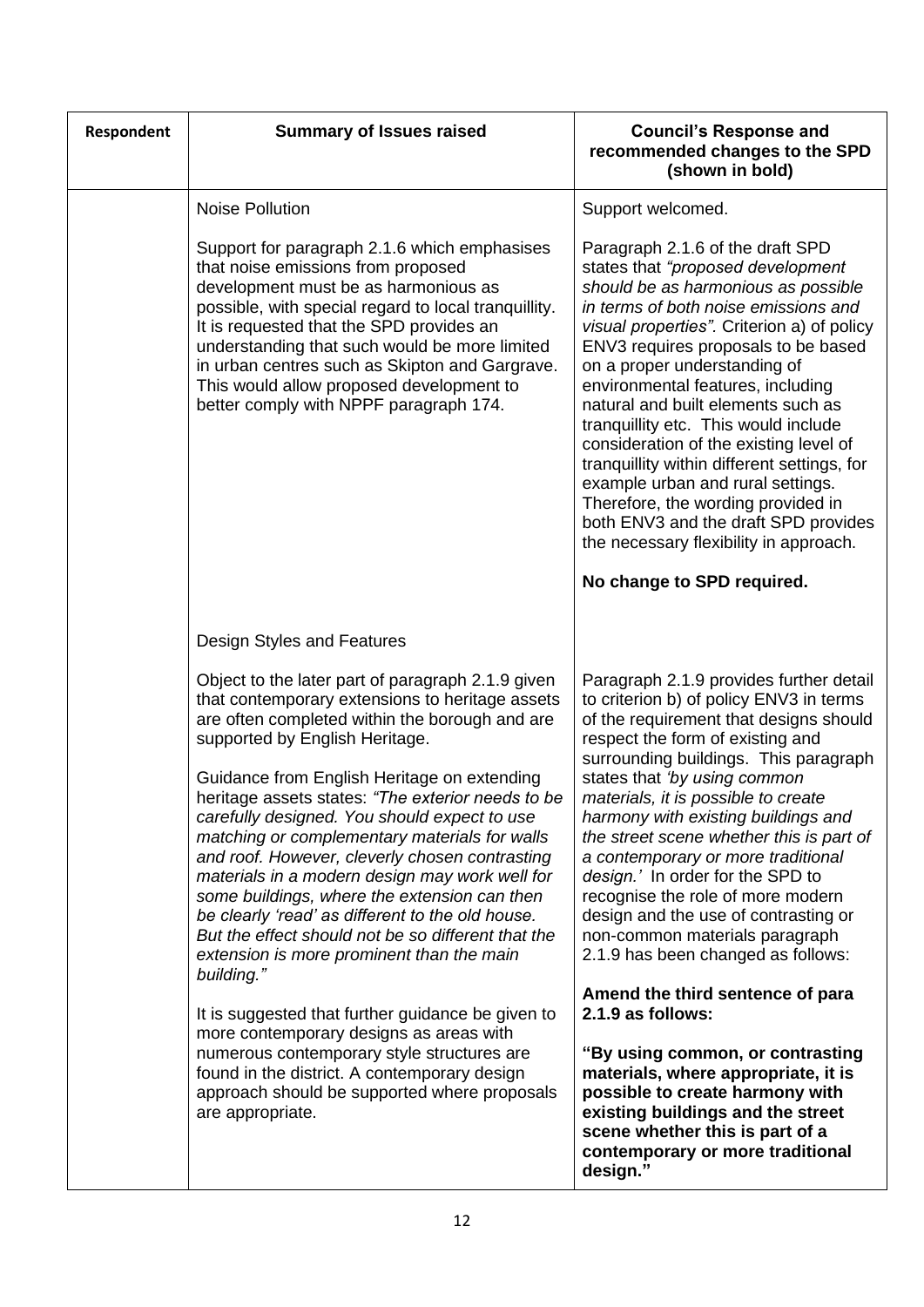| Respondent | <b>Summary of Issues raised</b>                                                                                                                                                                                                                                                                                                                                                                                                                                                                                                                                                                                                                                                                                        | <b>Council's Response and</b><br>recommended changes to the SPD<br>(shown in bold)                                                                                                                                                                                                                                                                                                                                                                                                                                                                                                                                                                 |
|------------|------------------------------------------------------------------------------------------------------------------------------------------------------------------------------------------------------------------------------------------------------------------------------------------------------------------------------------------------------------------------------------------------------------------------------------------------------------------------------------------------------------------------------------------------------------------------------------------------------------------------------------------------------------------------------------------------------------------------|----------------------------------------------------------------------------------------------------------------------------------------------------------------------------------------------------------------------------------------------------------------------------------------------------------------------------------------------------------------------------------------------------------------------------------------------------------------------------------------------------------------------------------------------------------------------------------------------------------------------------------------------------|
|            | <b>Noise Pollution</b>                                                                                                                                                                                                                                                                                                                                                                                                                                                                                                                                                                                                                                                                                                 | Support welcomed.                                                                                                                                                                                                                                                                                                                                                                                                                                                                                                                                                                                                                                  |
|            | Support for paragraph 2.1.6 which emphasises<br>that noise emissions from proposed<br>development must be as harmonious as<br>possible, with special regard to local tranquillity.<br>It is requested that the SPD provides an<br>understanding that such would be more limited<br>in urban centres such as Skipton and Gargrave.<br>This would allow proposed development to<br>better comply with NPPF paragraph 174.                                                                                                                                                                                                                                                                                                | Paragraph 2.1.6 of the draft SPD<br>states that "proposed development<br>should be as harmonious as possible<br>in terms of both noise emissions and<br>visual properties". Criterion a) of policy<br>ENV3 requires proposals to be based<br>on a proper understanding of<br>environmental features, including<br>natural and built elements such as<br>tranquillity etc. This would include<br>consideration of the existing level of<br>tranquillity within different settings, for<br>example urban and rural settings.<br>Therefore, the wording provided in<br>both ENV3 and the draft SPD provides<br>the necessary flexibility in approach. |
|            |                                                                                                                                                                                                                                                                                                                                                                                                                                                                                                                                                                                                                                                                                                                        | No change to SPD required.                                                                                                                                                                                                                                                                                                                                                                                                                                                                                                                                                                                                                         |
|            | Design Styles and Features                                                                                                                                                                                                                                                                                                                                                                                                                                                                                                                                                                                                                                                                                             |                                                                                                                                                                                                                                                                                                                                                                                                                                                                                                                                                                                                                                                    |
|            | Object to the later part of paragraph 2.1.9 given<br>that contemporary extensions to heritage assets<br>are often completed within the borough and are<br>supported by English Heritage.<br>Guidance from English Heritage on extending<br>heritage assets states: "The exterior needs to be<br>carefully designed. You should expect to use<br>matching or complementary materials for walls<br>and roof. However, cleverly chosen contrasting<br>materials in a modern design may work well for<br>some buildings, where the extension can then<br>be clearly 'read' as different to the old house.<br>But the effect should not be so different that the<br>extension is more prominent than the main<br>building." | Paragraph 2.1.9 provides further detail<br>to criterion b) of policy ENV3 in terms<br>of the requirement that designs should<br>respect the form of existing and<br>surrounding buildings. This paragraph<br>states that 'by using common<br>materials, it is possible to create<br>harmony with existing buildings and<br>the street scene whether this is part of<br>a contemporary or more traditional<br>design.' In order for the SPD to<br>recognise the role of more modern<br>design and the use of contrasting or<br>non-common materials paragraph<br>2.1.9 has been changed as follows:                                                 |
|            | It is suggested that further guidance be given to<br>more contemporary designs as areas with<br>numerous contemporary style structures are<br>found in the district. A contemporary design<br>approach should be supported where proposals<br>are appropriate.                                                                                                                                                                                                                                                                                                                                                                                                                                                         | Amend the third sentence of para<br>2.1.9 as follows:<br>"By using common, or contrasting<br>materials, where appropriate, it is<br>possible to create harmony with<br>existing buildings and the street<br>scene whether this is part of a<br>contemporary or more traditional<br>design."                                                                                                                                                                                                                                                                                                                                                        |
|            |                                                                                                                                                                                                                                                                                                                                                                                                                                                                                                                                                                                                                                                                                                                        |                                                                                                                                                                                                                                                                                                                                                                                                                                                                                                                                                                                                                                                    |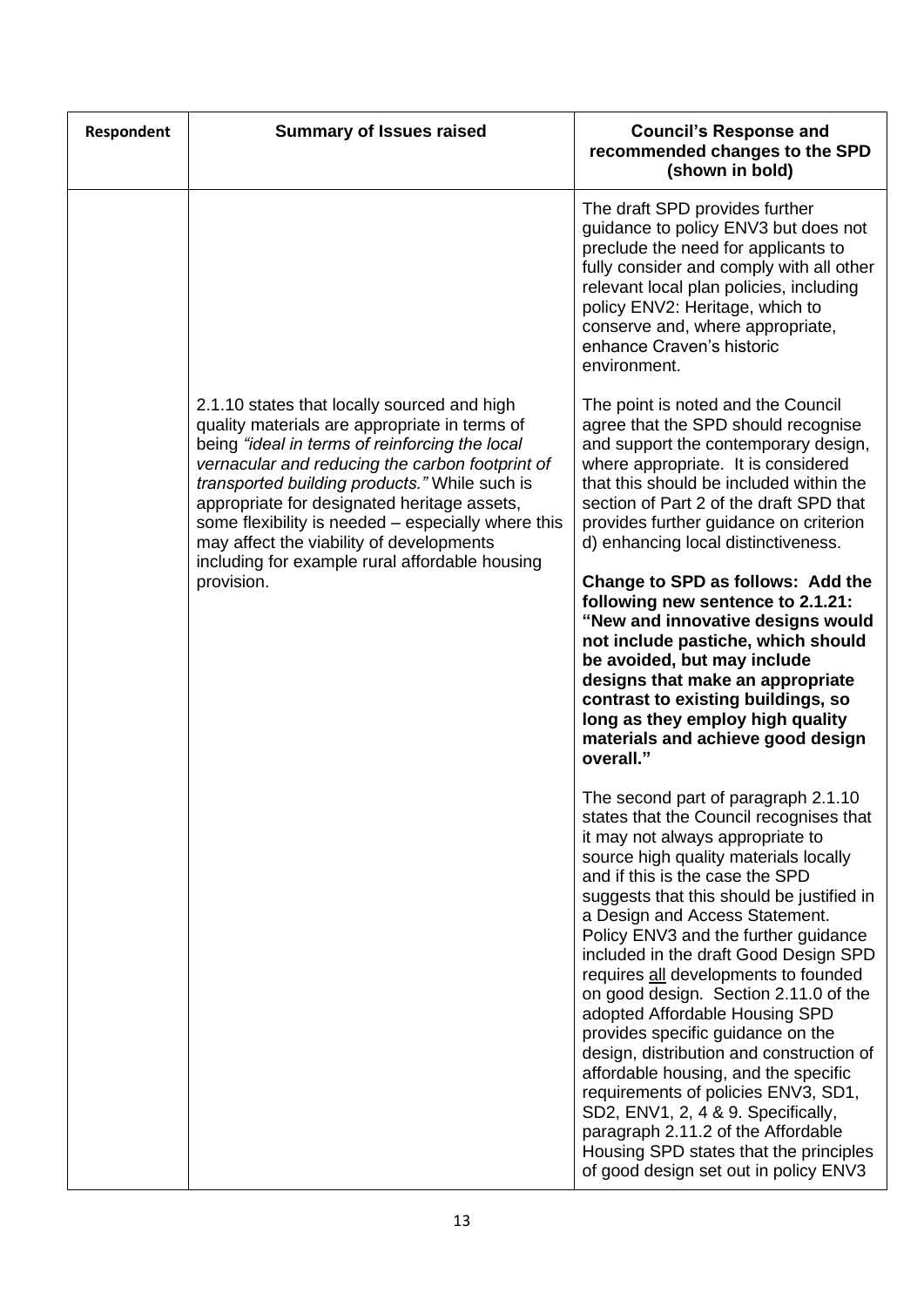| Respondent | <b>Summary of Issues raised</b>                                                                                                                                                                                                                                                                                                                                                                                                                       | <b>Council's Response and</b><br>recommended changes to the SPD<br>(shown in bold)                                                                                                                                                                                                                                                                                                                                                                                                                                                                                                                                                                                                                                                                                                                               |
|------------|-------------------------------------------------------------------------------------------------------------------------------------------------------------------------------------------------------------------------------------------------------------------------------------------------------------------------------------------------------------------------------------------------------------------------------------------------------|------------------------------------------------------------------------------------------------------------------------------------------------------------------------------------------------------------------------------------------------------------------------------------------------------------------------------------------------------------------------------------------------------------------------------------------------------------------------------------------------------------------------------------------------------------------------------------------------------------------------------------------------------------------------------------------------------------------------------------------------------------------------------------------------------------------|
|            |                                                                                                                                                                                                                                                                                                                                                                                                                                                       | The draft SPD provides further<br>guidance to policy ENV3 but does not<br>preclude the need for applicants to<br>fully consider and comply with all other<br>relevant local plan policies, including<br>policy ENV2: Heritage, which to<br>conserve and, where appropriate,<br>enhance Craven's historic<br>environment.                                                                                                                                                                                                                                                                                                                                                                                                                                                                                         |
|            | 2.1.10 states that locally sourced and high<br>quality materials are appropriate in terms of<br>being "ideal in terms of reinforcing the local<br>vernacular and reducing the carbon footprint of<br>transported building products." While such is<br>appropriate for designated heritage assets,<br>some flexibility is needed - especially where this<br>may affect the viability of developments<br>including for example rural affordable housing | The point is noted and the Council<br>agree that the SPD should recognise<br>and support the contemporary design,<br>where appropriate. It is considered<br>that this should be included within the<br>section of Part 2 of the draft SPD that<br>provides further guidance on criterion<br>d) enhancing local distinctiveness.                                                                                                                                                                                                                                                                                                                                                                                                                                                                                  |
|            | provision.                                                                                                                                                                                                                                                                                                                                                                                                                                            | Change to SPD as follows: Add the<br>following new sentence to 2.1.21:<br>"New and innovative designs would<br>not include pastiche, which should<br>be avoided, but may include<br>designs that make an appropriate<br>contrast to existing buildings, so<br>long as they employ high quality<br>materials and achieve good design<br>overall."                                                                                                                                                                                                                                                                                                                                                                                                                                                                 |
|            |                                                                                                                                                                                                                                                                                                                                                                                                                                                       | The second part of paragraph 2.1.10<br>states that the Council recognises that<br>it may not always appropriate to<br>source high quality materials locally<br>and if this is the case the SPD<br>suggests that this should be justified in<br>a Design and Access Statement.<br>Policy ENV3 and the further guidance<br>included in the draft Good Design SPD<br>requires all developments to founded<br>on good design. Section 2.11.0 of the<br>adopted Affordable Housing SPD<br>provides specific guidance on the<br>design, distribution and construction of<br>affordable housing, and the specific<br>requirements of policies ENV3, SD1,<br>SD2, ENV1, 2, 4 & 9. Specifically,<br>paragraph 2.11.2 of the Affordable<br>Housing SPD states that the principles<br>of good design set out in policy ENV3 |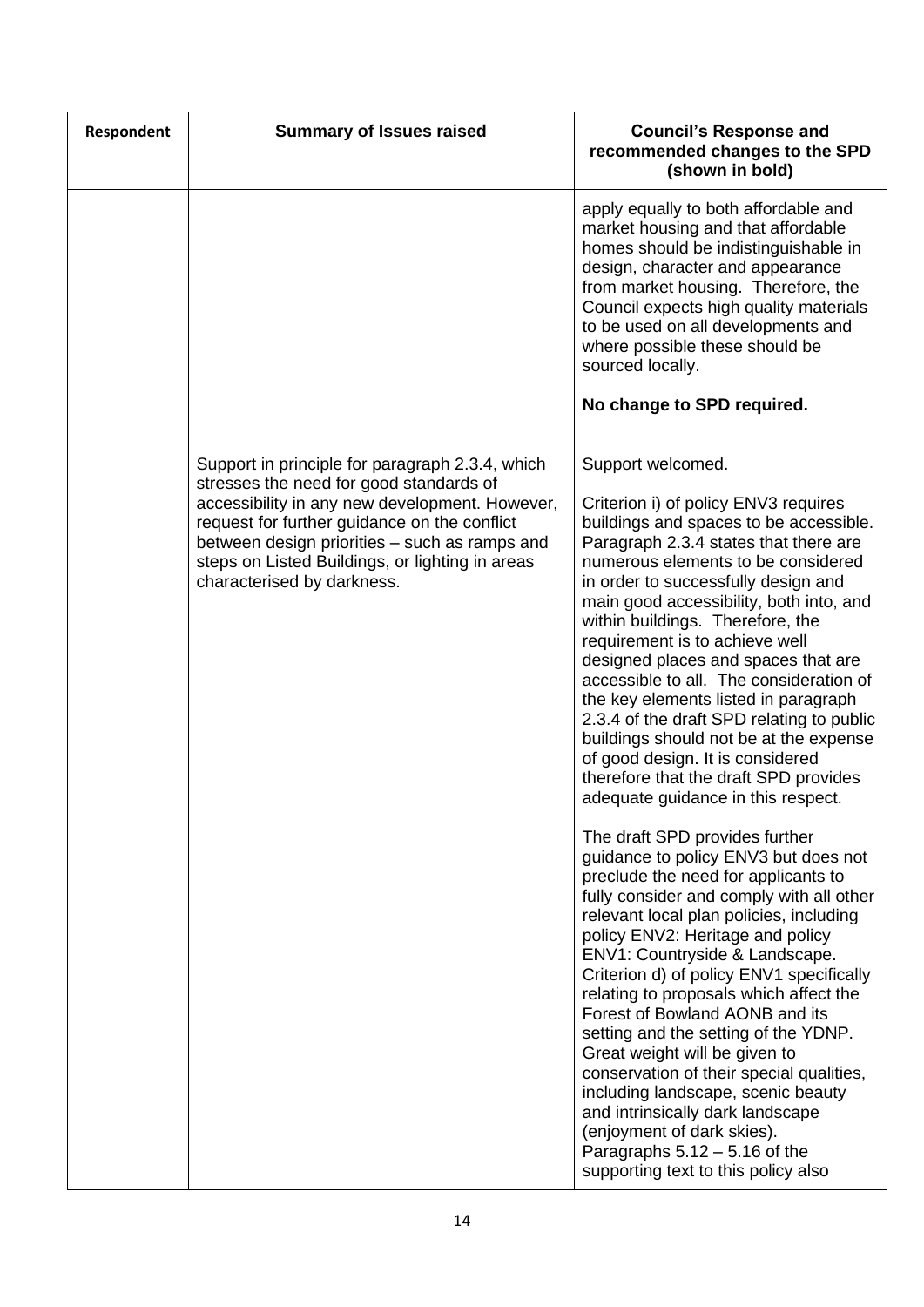| Respondent | <b>Summary of Issues raised</b>                                                                                                                                                                                                                                                                                                | <b>Council's Response and</b><br>recommended changes to the SPD<br>(shown in bold)                                                                                                                                                                                                                                                                                                                                                                                                                                                                                                                                                                                                                                                                                                                                                                                                                                                                                                                                                                                                                                                                                                                                                                                                                                                                                                          |
|------------|--------------------------------------------------------------------------------------------------------------------------------------------------------------------------------------------------------------------------------------------------------------------------------------------------------------------------------|---------------------------------------------------------------------------------------------------------------------------------------------------------------------------------------------------------------------------------------------------------------------------------------------------------------------------------------------------------------------------------------------------------------------------------------------------------------------------------------------------------------------------------------------------------------------------------------------------------------------------------------------------------------------------------------------------------------------------------------------------------------------------------------------------------------------------------------------------------------------------------------------------------------------------------------------------------------------------------------------------------------------------------------------------------------------------------------------------------------------------------------------------------------------------------------------------------------------------------------------------------------------------------------------------------------------------------------------------------------------------------------------|
|            |                                                                                                                                                                                                                                                                                                                                | apply equally to both affordable and<br>market housing and that affordable<br>homes should be indistinguishable in<br>design, character and appearance<br>from market housing. Therefore, the<br>Council expects high quality materials<br>to be used on all developments and<br>where possible these should be<br>sourced locally.<br>No change to SPD required.                                                                                                                                                                                                                                                                                                                                                                                                                                                                                                                                                                                                                                                                                                                                                                                                                                                                                                                                                                                                                           |
|            | Support in principle for paragraph 2.3.4, which<br>stresses the need for good standards of<br>accessibility in any new development. However,<br>request for further guidance on the conflict<br>between design priorities - such as ramps and<br>steps on Listed Buildings, or lighting in areas<br>characterised by darkness. | Support welcomed.<br>Criterion i) of policy ENV3 requires<br>buildings and spaces to be accessible.<br>Paragraph 2.3.4 states that there are<br>numerous elements to be considered<br>in order to successfully design and<br>main good accessibility, both into, and<br>within buildings. Therefore, the<br>requirement is to achieve well<br>designed places and spaces that are<br>accessible to all. The consideration of<br>the key elements listed in paragraph<br>2.3.4 of the draft SPD relating to public<br>buildings should not be at the expense<br>of good design. It is considered<br>therefore that the draft SPD provides<br>adequate guidance in this respect.<br>The draft SPD provides further<br>guidance to policy ENV3 but does not<br>preclude the need for applicants to<br>fully consider and comply with all other<br>relevant local plan policies, including<br>policy ENV2: Heritage and policy<br>ENV1: Countryside & Landscape.<br>Criterion d) of policy ENV1 specifically<br>relating to proposals which affect the<br>Forest of Bowland AONB and its<br>setting and the setting of the YDNP.<br>Great weight will be given to<br>conservation of their special qualities,<br>including landscape, scenic beauty<br>and intrinsically dark landscape<br>(enjoyment of dark skies).<br>Paragraphs $5.12 - 5.16$ of the<br>supporting text to this policy also |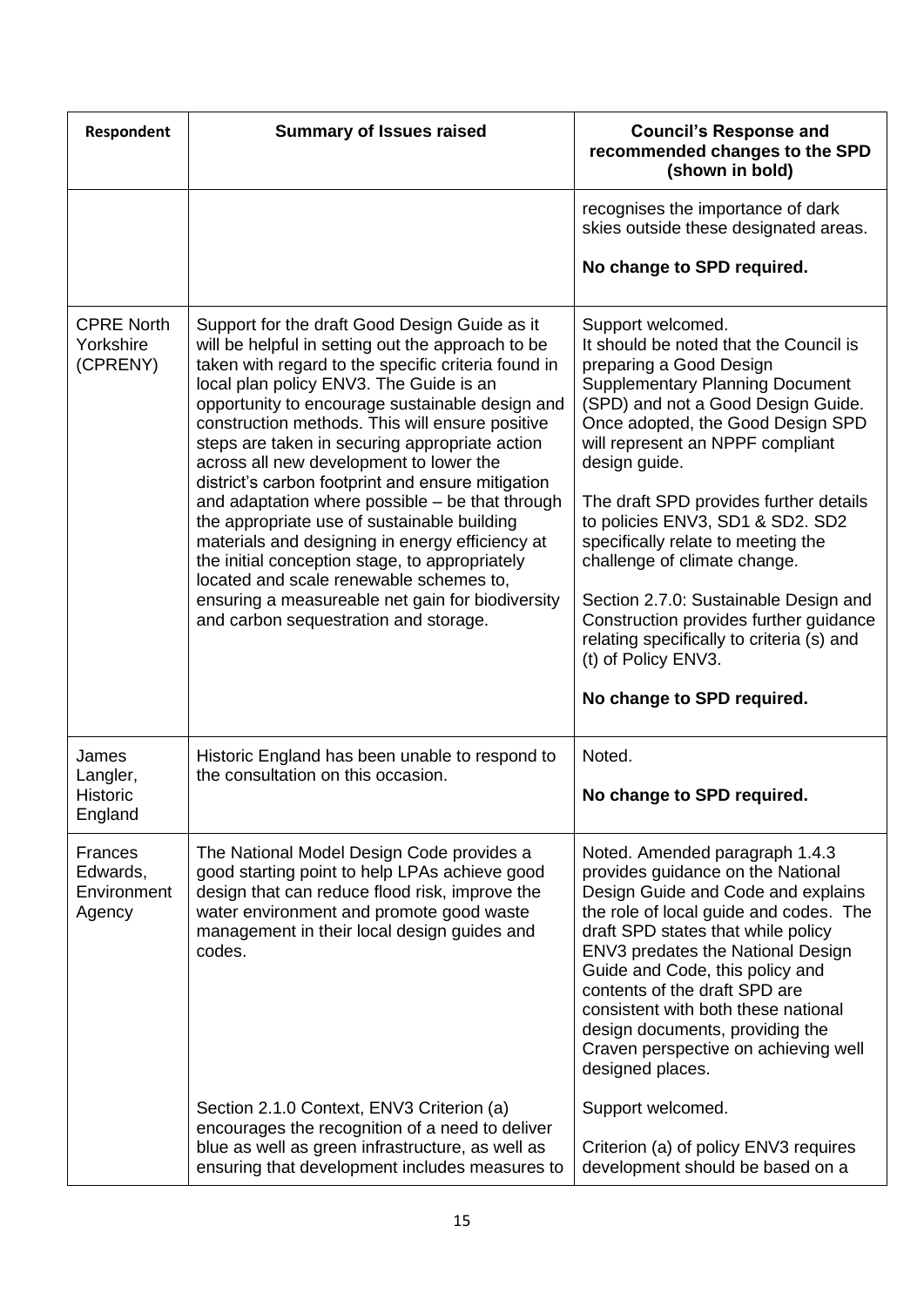| <b>Respondent</b>                                   | <b>Summary of Issues raised</b>                                                                                                                                                                                                                                                                                                                                                                                                                                                                                                                                                                                                                                                                                                                                                                             | <b>Council's Response and</b><br>recommended changes to the SPD<br>(shown in bold)                                                                                                                                                                                                                                                                                                                                                                                                                                                                                                                        |
|-----------------------------------------------------|-------------------------------------------------------------------------------------------------------------------------------------------------------------------------------------------------------------------------------------------------------------------------------------------------------------------------------------------------------------------------------------------------------------------------------------------------------------------------------------------------------------------------------------------------------------------------------------------------------------------------------------------------------------------------------------------------------------------------------------------------------------------------------------------------------------|-----------------------------------------------------------------------------------------------------------------------------------------------------------------------------------------------------------------------------------------------------------------------------------------------------------------------------------------------------------------------------------------------------------------------------------------------------------------------------------------------------------------------------------------------------------------------------------------------------------|
|                                                     |                                                                                                                                                                                                                                                                                                                                                                                                                                                                                                                                                                                                                                                                                                                                                                                                             | recognises the importance of dark<br>skies outside these designated areas.                                                                                                                                                                                                                                                                                                                                                                                                                                                                                                                                |
|                                                     |                                                                                                                                                                                                                                                                                                                                                                                                                                                                                                                                                                                                                                                                                                                                                                                                             | No change to SPD required.                                                                                                                                                                                                                                                                                                                                                                                                                                                                                                                                                                                |
| <b>CPRE North</b><br>Yorkshire<br>(CPRENY)          | Support for the draft Good Design Guide as it<br>will be helpful in setting out the approach to be<br>taken with regard to the specific criteria found in<br>local plan policy ENV3. The Guide is an<br>opportunity to encourage sustainable design and<br>construction methods. This will ensure positive<br>steps are taken in securing appropriate action<br>across all new development to lower the<br>district's carbon footprint and ensure mitigation<br>and adaptation where possible - be that through<br>the appropriate use of sustainable building<br>materials and designing in energy efficiency at<br>the initial conception stage, to appropriately<br>located and scale renewable schemes to,<br>ensuring a measureable net gain for biodiversity<br>and carbon sequestration and storage. | Support welcomed.<br>It should be noted that the Council is<br>preparing a Good Design<br><b>Supplementary Planning Document</b><br>(SPD) and not a Good Design Guide.<br>Once adopted, the Good Design SPD<br>will represent an NPPF compliant<br>design guide.<br>The draft SPD provides further details<br>to policies ENV3, SD1 & SD2. SD2<br>specifically relate to meeting the<br>challenge of climate change.<br>Section 2.7.0: Sustainable Design and<br>Construction provides further guidance<br>relating specifically to criteria (s) and<br>(t) of Policy ENV3.<br>No change to SPD required. |
| James<br>Langler,<br><b>Historic</b><br>England     | Historic England has been unable to respond to<br>the consultation on this occasion.                                                                                                                                                                                                                                                                                                                                                                                                                                                                                                                                                                                                                                                                                                                        | Noted.<br>No change to SPD required.                                                                                                                                                                                                                                                                                                                                                                                                                                                                                                                                                                      |
| <b>Frances</b><br>Edwards,<br>Environment<br>Agency | The National Model Design Code provides a<br>good starting point to help LPAs achieve good<br>design that can reduce flood risk, improve the<br>water environment and promote good waste<br>management in their local design guides and<br>codes.                                                                                                                                                                                                                                                                                                                                                                                                                                                                                                                                                           | Noted. Amended paragraph 1.4.3<br>provides guidance on the National<br>Design Guide and Code and explains<br>the role of local guide and codes. The<br>draft SPD states that while policy<br>ENV3 predates the National Design<br>Guide and Code, this policy and<br>contents of the draft SPD are<br>consistent with both these national<br>design documents, providing the<br>Craven perspective on achieving well<br>designed places.                                                                                                                                                                  |
|                                                     | Section 2.1.0 Context, ENV3 Criterion (a)<br>encourages the recognition of a need to deliver<br>blue as well as green infrastructure, as well as<br>ensuring that development includes measures to                                                                                                                                                                                                                                                                                                                                                                                                                                                                                                                                                                                                          | Support welcomed.<br>Criterion (a) of policy ENV3 requires<br>development should be based on a                                                                                                                                                                                                                                                                                                                                                                                                                                                                                                            |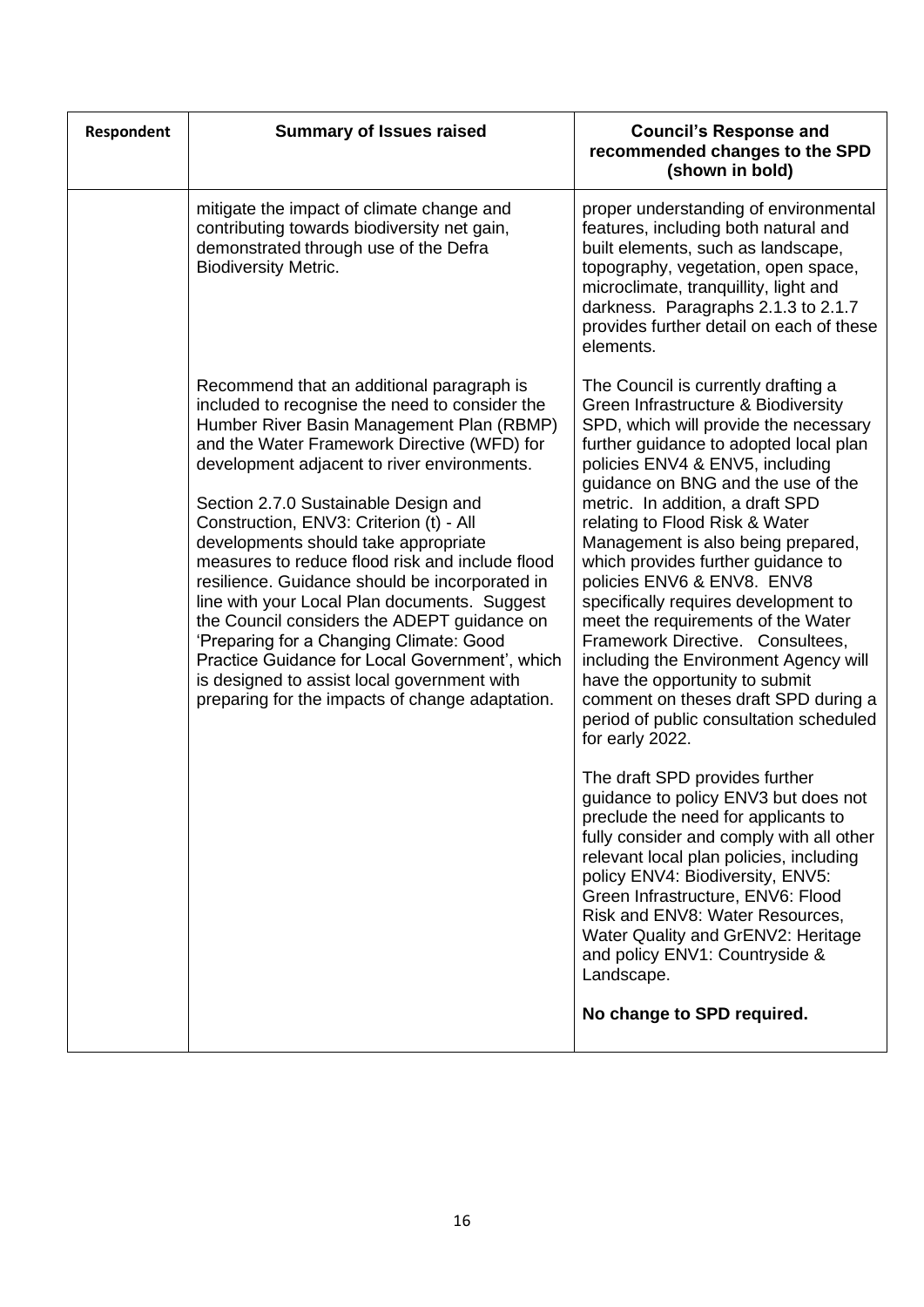| Respondent | <b>Summary of Issues raised</b>                                                                                                                                                                                                                                                                                                                                                                                                                                                                                                                                                                                                                                                                                                                                      | <b>Council's Response and</b><br>recommended changes to the SPD<br>(shown in bold)                                                                                                                                                                                                                                                                                                                                                                                                                                                                                                                                                                                                                                                                                                                                                                                                                                                                                                                                                                                                                                                                                |
|------------|----------------------------------------------------------------------------------------------------------------------------------------------------------------------------------------------------------------------------------------------------------------------------------------------------------------------------------------------------------------------------------------------------------------------------------------------------------------------------------------------------------------------------------------------------------------------------------------------------------------------------------------------------------------------------------------------------------------------------------------------------------------------|-------------------------------------------------------------------------------------------------------------------------------------------------------------------------------------------------------------------------------------------------------------------------------------------------------------------------------------------------------------------------------------------------------------------------------------------------------------------------------------------------------------------------------------------------------------------------------------------------------------------------------------------------------------------------------------------------------------------------------------------------------------------------------------------------------------------------------------------------------------------------------------------------------------------------------------------------------------------------------------------------------------------------------------------------------------------------------------------------------------------------------------------------------------------|
|            | mitigate the impact of climate change and<br>contributing towards biodiversity net gain,<br>demonstrated through use of the Defra<br><b>Biodiversity Metric.</b>                                                                                                                                                                                                                                                                                                                                                                                                                                                                                                                                                                                                     | proper understanding of environmental<br>features, including both natural and<br>built elements, such as landscape,<br>topography, vegetation, open space,<br>microclimate, tranquillity, light and<br>darkness. Paragraphs 2.1.3 to 2.1.7<br>provides further detail on each of these<br>elements.                                                                                                                                                                                                                                                                                                                                                                                                                                                                                                                                                                                                                                                                                                                                                                                                                                                               |
|            | Recommend that an additional paragraph is<br>included to recognise the need to consider the<br>Humber River Basin Management Plan (RBMP)<br>and the Water Framework Directive (WFD) for<br>development adjacent to river environments.<br>Section 2.7.0 Sustainable Design and<br>Construction, ENV3: Criterion (t) - All<br>developments should take appropriate<br>measures to reduce flood risk and include flood<br>resilience. Guidance should be incorporated in<br>line with your Local Plan documents. Suggest<br>the Council considers the ADEPT guidance on<br>'Preparing for a Changing Climate: Good<br>Practice Guidance for Local Government', which<br>is designed to assist local government with<br>preparing for the impacts of change adaptation. | The Council is currently drafting a<br>Green Infrastructure & Biodiversity<br>SPD, which will provide the necessary<br>further guidance to adopted local plan<br>policies ENV4 & ENV5, including<br>guidance on BNG and the use of the<br>metric. In addition, a draft SPD<br>relating to Flood Risk & Water<br>Management is also being prepared,<br>which provides further guidance to<br>policies ENV6 & ENV8. ENV8<br>specifically requires development to<br>meet the requirements of the Water<br>Framework Directive. Consultees,<br>including the Environment Agency will<br>have the opportunity to submit<br>comment on theses draft SPD during a<br>period of public consultation scheduled<br>for early 2022.<br>The draft SPD provides further<br>guidance to policy ENV3 but does not<br>preclude the need for applicants to<br>fully consider and comply with all other<br>relevant local plan policies, including<br>policy ENV4: Biodiversity, ENV5:<br>Green Infrastructure, ENV6: Flood<br>Risk and ENV8: Water Resources,<br>Water Quality and GrENV2: Heritage<br>and policy ENV1: Countryside &<br>Landscape.<br>No change to SPD required. |